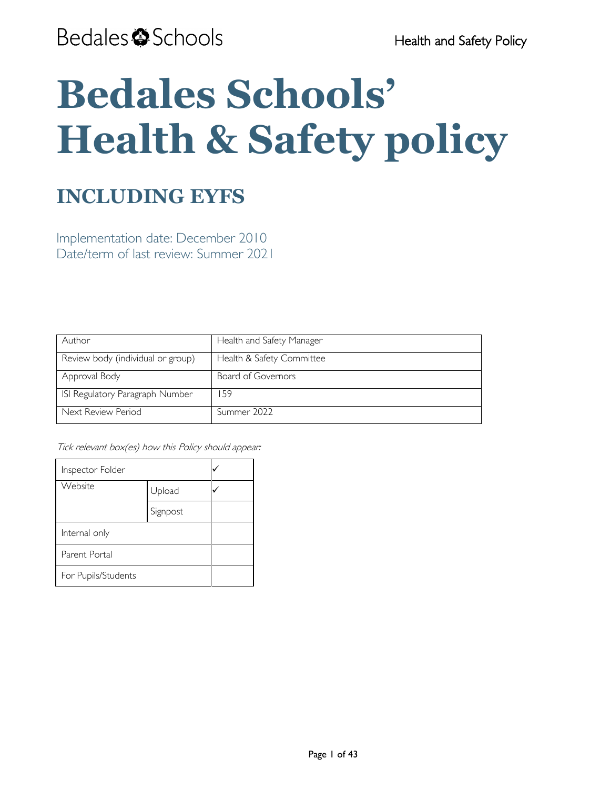# **Bedales Schools' Health & Safety policy**

## **INCLUDING EYFS**

Implementation date: December 2010 Date/term of last review: Summer 2021

| Author                            | Health and Safety Manager |
|-----------------------------------|---------------------------|
| Review body (individual or group) | Health & Safety Committee |
| Approval Body                     | Board of Governors        |
| ISI Regulatory Paragraph Number   | -59                       |
| Next Review Period                | Summer 2022               |

Tick relevant box(es) how this Policy should appear:

| Inspector Folder    |          |  |
|---------------------|----------|--|
| Website             | Upload   |  |
|                     | Signpost |  |
| Internal only       |          |  |
| Parent Portal       |          |  |
| For Pupils/Students |          |  |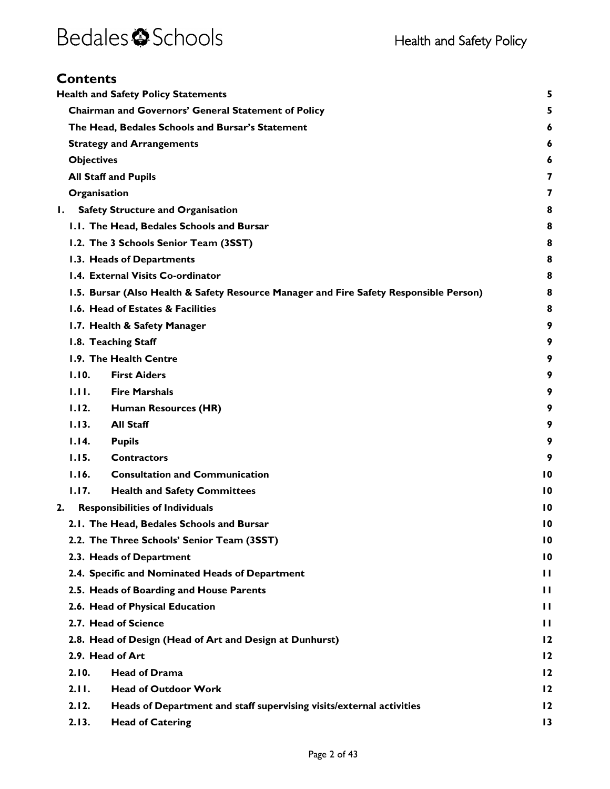### **Contents**

|                                                                                                                         |                   | <b>Health and Safety Policy Statements</b>                                             | 5               |
|-------------------------------------------------------------------------------------------------------------------------|-------------------|----------------------------------------------------------------------------------------|-----------------|
|                                                                                                                         |                   | <b>Chairman and Governors' General Statement of Policy</b>                             | 5               |
|                                                                                                                         |                   | The Head, Bedales Schools and Bursar's Statement                                       | 6               |
|                                                                                                                         |                   |                                                                                        |                 |
|                                                                                                                         |                   | <b>Strategy and Arrangements</b>                                                       | 6               |
|                                                                                                                         | <b>Objectives</b> |                                                                                        | 6<br>7          |
|                                                                                                                         |                   | <b>All Staff and Pupils</b>                                                            | 7               |
|                                                                                                                         | Organisation      |                                                                                        |                 |
| Ι.                                                                                                                      |                   | <b>Safety Structure and Organisation</b>                                               | 8               |
|                                                                                                                         |                   | I.I. The Head, Bedales Schools and Bursar                                              | 8               |
|                                                                                                                         |                   | 1.2. The 3 Schools Senior Team (3SST)                                                  | 8               |
|                                                                                                                         |                   | 1.3. Heads of Departments                                                              | 8               |
|                                                                                                                         |                   | 1.4. External Visits Co-ordinator                                                      | 8               |
|                                                                                                                         |                   | 1.5. Bursar (Also Health & Safety Resource Manager and Fire Safety Responsible Person) | 8               |
|                                                                                                                         |                   | 1.6. Head of Estates & Facilities                                                      | 8               |
|                                                                                                                         |                   | 1.7. Health & Safety Manager                                                           | 9               |
|                                                                                                                         |                   | 1.8. Teaching Staff                                                                    | 9               |
|                                                                                                                         |                   | 1.9. The Health Centre                                                                 | 9               |
|                                                                                                                         | 1.10.             | <b>First Aiders</b>                                                                    | 9               |
|                                                                                                                         | 1.11.             | <b>Fire Marshals</b>                                                                   | 9               |
|                                                                                                                         | 1.12.             | Human Resources (HR)                                                                   | 9               |
|                                                                                                                         | 1.13.             | <b>All Staff</b>                                                                       | 9               |
|                                                                                                                         | 1.14.             | <b>Pupils</b>                                                                          | 9               |
|                                                                                                                         | 1.15.             | <b>Contractors</b>                                                                     | 9               |
|                                                                                                                         | 1.16.             | <b>Consultation and Communication</b>                                                  | $\overline{10}$ |
|                                                                                                                         | 1.17.             | <b>Health and Safety Committees</b>                                                    | $\overline{10}$ |
| 2.                                                                                                                      |                   | <b>Responsibilities of Individuals</b>                                                 | $\overline{10}$ |
|                                                                                                                         |                   | 2.1. The Head, Bedales Schools and Bursar                                              | $\overline{10}$ |
|                                                                                                                         |                   | 2.2. The Three Schools' Senior Team (3SST)                                             | $\overline{10}$ |
| 2.3. Heads of Department<br>2.4. Specific and Nominated Heads of Department<br>2.5. Heads of Boarding and House Parents |                   | $\overline{10}$                                                                        |                 |
|                                                                                                                         |                   |                                                                                        | $\mathbf{H}$    |
|                                                                                                                         |                   | Ш                                                                                      |                 |
|                                                                                                                         |                   | 2.6. Head of Physical Education                                                        | $\mathbf{H}$    |
| 2.7. Head of Science<br>2.8. Head of Design (Head of Art and Design at Dunhurst)<br>2.9. Head of Art                    |                   |                                                                                        | $\mathbf{H}$    |
|                                                                                                                         |                   | $\overline{12}$                                                                        |                 |
|                                                                                                                         |                   | $\overline{12}$                                                                        |                 |
|                                                                                                                         | 2.10.             | <b>Head of Drama</b>                                                                   | $\overline{12}$ |
|                                                                                                                         | 2.11.             | <b>Head of Outdoor Work</b>                                                            | 12              |
|                                                                                                                         | 2.12.             | Heads of Department and staff supervising visits/external activities                   | 12              |
|                                                                                                                         | 2.13.             | <b>Head of Catering</b>                                                                | $\overline{13}$ |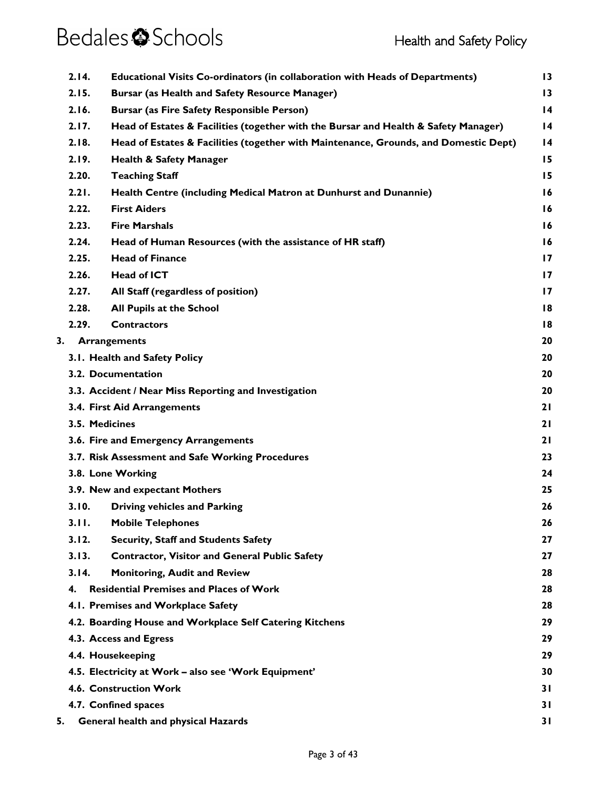|    | 2.14.          | <b>Educational Visits Co-ordinators (in collaboration with Heads of Departments)</b> | $\overline{13}$ |
|----|----------------|--------------------------------------------------------------------------------------|-----------------|
|    | 2.15.          | <b>Bursar (as Health and Safety Resource Manager)</b>                                | $\overline{13}$ |
|    | 2.16.          | <b>Bursar (as Fire Safety Responsible Person)</b>                                    | $\overline{14}$ |
|    | 2.17.          | Head of Estates & Facilities (together with the Bursar and Health & Safety Manager)  | 14              |
|    | 2.18.          | Head of Estates & Facilities (together with Maintenance, Grounds, and Domestic Dept) | $\overline{14}$ |
|    | 2.19.          | <b>Health &amp; Safety Manager</b>                                                   | 15              |
|    | 2.20.          | <b>Teaching Staff</b>                                                                | 15              |
|    | 2.21.          | Health Centre (including Medical Matron at Dunhurst and Dunannie)                    | 16              |
|    | 2.22.          | <b>First Aiders</b>                                                                  | 16              |
|    | 2.23.          | <b>Fire Marshals</b>                                                                 | 16              |
|    | 2.24.          | Head of Human Resources (with the assistance of HR staff)                            | 16              |
|    | 2.25.          | <b>Head of Finance</b>                                                               | $\overline{17}$ |
|    | 2.26.          | <b>Head of ICT</b>                                                                   | $\overline{17}$ |
|    | 2.27.          | All Staff (regardless of position)                                                   | $\overline{17}$ |
|    | 2.28.          | All Pupils at the School                                                             | 18              |
|    | 2.29.          | <b>Contractors</b>                                                                   | 18              |
|    | 3.             | <b>Arrangements</b>                                                                  | 20              |
|    |                | 3.1. Health and Safety Policy                                                        | 20              |
|    |                | 3.2. Documentation                                                                   | 20              |
|    |                | 3.3. Accident / Near Miss Reporting and Investigation                                | 20              |
|    |                | 3.4. First Aid Arrangements                                                          | 21              |
|    | 3.5. Medicines |                                                                                      | 21              |
|    |                | 3.6. Fire and Emergency Arrangements                                                 | 21              |
|    |                | 3.7. Risk Assessment and Safe Working Procedures                                     | 23              |
|    |                | 3.8. Lone Working                                                                    | 24              |
|    |                | 3.9. New and expectant Mothers                                                       | 25              |
|    | 3.10.          | <b>Driving vehicles and Parking</b>                                                  | 26              |
|    | 3.11.          | <b>Mobile Telephones</b>                                                             | 26              |
|    | 3.12.          | Security, Staff and Students Safety                                                  | 27              |
|    | 3.13.          | <b>Contractor, Visitor and General Public Safety</b>                                 | 27              |
|    | 3.14.          | <b>Monitoring, Audit and Review</b>                                                  | 28              |
|    | 4.             | <b>Residential Premises and Places of Work</b>                                       | 28              |
|    |                | 4.1. Premises and Workplace Safety                                                   | 28              |
|    |                | 4.2. Boarding House and Workplace Self Catering Kitchens                             | 29              |
|    |                | 4.3. Access and Egress                                                               | 29              |
|    |                | 4.4. Housekeeping                                                                    | 29              |
|    |                | 4.5. Electricity at Work - also see 'Work Equipment'                                 | 30              |
|    |                | 4.6. Construction Work                                                               | 31              |
|    |                | 4.7. Confined spaces                                                                 | 31              |
| 5. |                | <b>General health and physical Hazards</b>                                           | 31              |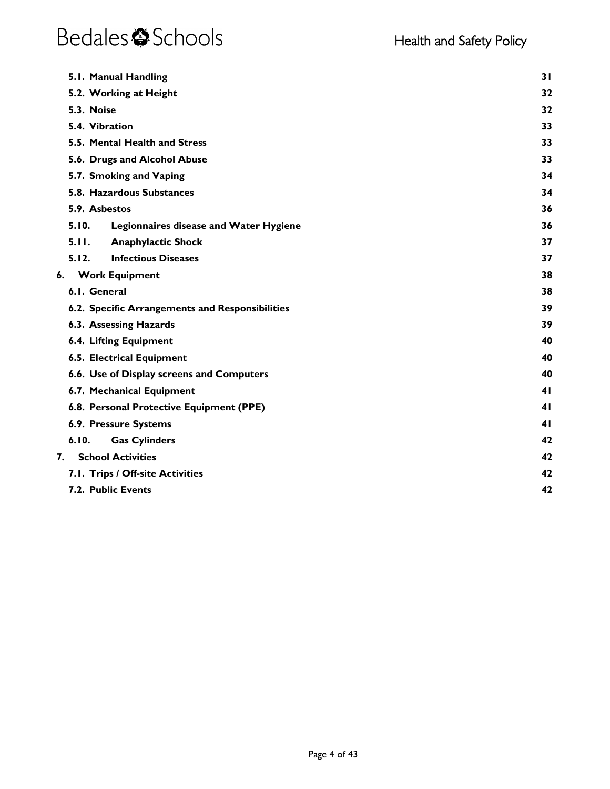|       | 5.1. Manual Handling                            | 31 |
|-------|-------------------------------------------------|----|
|       | 5.2. Working at Height                          | 32 |
|       | 5.3. Noise                                      | 32 |
|       | 5.4. Vibration                                  | 33 |
|       | 5.5. Mental Health and Stress                   | 33 |
|       | 5.6. Drugs and Alcohol Abuse                    | 33 |
|       | 5.7. Smoking and Vaping                         | 34 |
|       | 5.8. Hazardous Substances                       | 34 |
|       | 5.9. Asbestos                                   | 36 |
| 5.10. | Legionnaires disease and Water Hygiene          | 36 |
| 5.11. | <b>Anaphylactic Shock</b>                       | 37 |
| 5.12. | <b>Infectious Diseases</b>                      | 37 |
| 6.    | <b>Work Equipment</b>                           | 38 |
|       | 6.1. General                                    | 38 |
|       | 6.2. Specific Arrangements and Responsibilities | 39 |
|       | 6.3. Assessing Hazards                          | 39 |
|       | <b>6.4. Lifting Equipment</b>                   | 40 |
|       | 6.5. Electrical Equipment                       | 40 |
|       | 6.6. Use of Display screens and Computers       | 40 |
|       | 6.7. Mechanical Equipment                       | 41 |
|       | 6.8. Personal Protective Equipment (PPE)        | 41 |
|       | 6.9. Pressure Systems                           | 41 |
| 6.10. | <b>Gas Cylinders</b>                            | 42 |
| 7.    | <b>School Activities</b>                        | 42 |
|       | 7.1. Trips / Off-site Activities                | 42 |
|       | 7.2. Public Events                              | 42 |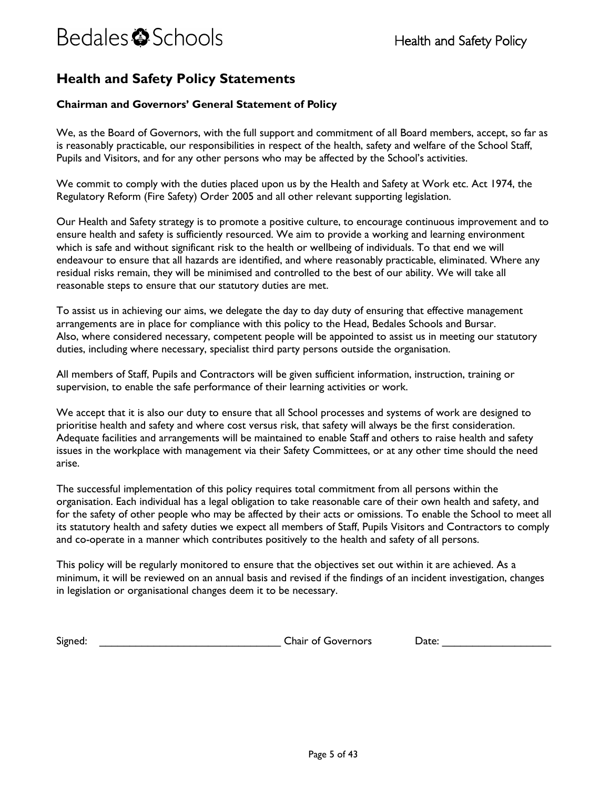### <span id="page-4-0"></span>**Health and Safety Policy Statements**

#### <span id="page-4-1"></span>**Chairman and Governors' General Statement of Policy**

We, as the Board of Governors, with the full support and commitment of all Board members, accept, so far as is reasonably practicable, our responsibilities in respect of the health, safety and welfare of the School Staff, Pupils and Visitors, and for any other persons who may be affected by the School's activities.

We commit to comply with the duties placed upon us by the Health and Safety at Work etc. Act 1974, the Regulatory Reform (Fire Safety) Order 2005 and all other relevant supporting legislation.

Our Health and Safety strategy is to promote a positive culture, to encourage continuous improvement and to ensure health and safety is sufficiently resourced. We aim to provide a working and learning environment which is safe and without significant risk to the health or wellbeing of individuals. To that end we will endeavour to ensure that all hazards are identified, and where reasonably practicable, eliminated. Where any residual risks remain, they will be minimised and controlled to the best of our ability. We will take all reasonable steps to ensure that our statutory duties are met.

To assist us in achieving our aims, we delegate the day to day duty of ensuring that effective management arrangements are in place for compliance with this policy to the Head, Bedales Schools and Bursar. Also, where considered necessary, competent people will be appointed to assist us in meeting our statutory duties, including where necessary, specialist third party persons outside the organisation.

All members of Staff, Pupils and Contractors will be given sufficient information, instruction, training or supervision, to enable the safe performance of their learning activities or work.

We accept that it is also our duty to ensure that all School processes and systems of work are designed to prioritise health and safety and where cost versus risk, that safety will always be the first consideration. Adequate facilities and arrangements will be maintained to enable Staff and others to raise health and safety issues in the workplace with management via their Safety Committees, or at any other time should the need arise.

The successful implementation of this policy requires total commitment from all persons within the organisation. Each individual has a legal obligation to take reasonable care of their own health and safety, and for the safety of other people who may be affected by their acts or omissions. To enable the School to meet all its statutory health and safety duties we expect all members of Staff, Pupils Visitors and Contractors to comply and co-operate in a manner which contributes positively to the health and safety of all persons.

This policy will be regularly monitored to ensure that the objectives set out within it are achieved. As a minimum, it will be reviewed on an annual basis and revised if the findings of an incident investigation, changes in legislation or organisational changes deem it to be necessary.

Signed: The Chair of Governors Date:  $\Box$  Date: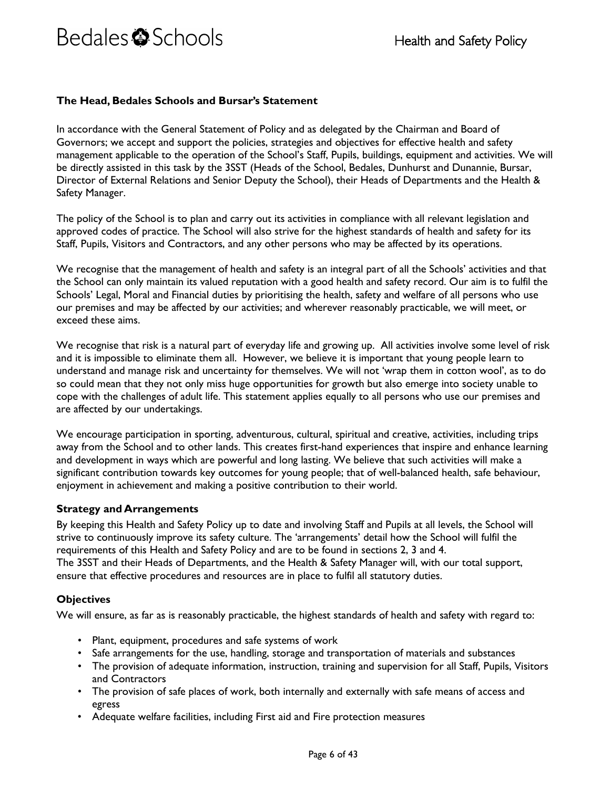#### <span id="page-5-0"></span>**The Head, Bedales Schools and Bursar's Statement**

In accordance with the General Statement of Policy and as delegated by the Chairman and Board of Governors; we accept and support the policies, strategies and objectives for effective health and safety management applicable to the operation of the School's Staff, Pupils, buildings, equipment and activities. We will be directly assisted in this task by the 3SST (Heads of the School, Bedales, Dunhurst and Dunannie, Bursar, Director of External Relations and Senior Deputy the School), their Heads of Departments and the Health & Safety Manager.

The policy of the School is to plan and carry out its activities in compliance with all relevant legislation and approved codes of practice. The School will also strive for the highest standards of health and safety for its Staff, Pupils, Visitors and Contractors, and any other persons who may be affected by its operations.

We recognise that the management of health and safety is an integral part of all the Schools' activities and that the School can only maintain its valued reputation with a good health and safety record. Our aim is to fulfil the Schools' Legal, Moral and Financial duties by prioritising the health, safety and welfare of all persons who use our premises and may be affected by our activities; and wherever reasonably practicable, we will meet, or exceed these aims.

We recognise that risk is a natural part of everyday life and growing up. All activities involve some level of risk and it is impossible to eliminate them all. However, we believe it is important that young people learn to understand and manage risk and uncertainty for themselves. We will not 'wrap them in cotton wool', as to do so could mean that they not only miss huge opportunities for growth but also emerge into society unable to cope with the challenges of adult life. This statement applies equally to all persons who use our premises and are affected by our undertakings.

We encourage participation in sporting, adventurous, cultural, spiritual and creative, activities, including trips away from the School and to other lands. This creates first-hand experiences that inspire and enhance learning and development in ways which are powerful and long lasting. We believe that such activities will make a significant contribution towards key outcomes for young people; that of well-balanced health, safe behaviour, enjoyment in achievement and making a positive contribution to their world.

#### <span id="page-5-1"></span>**Strategy and Arrangements**

By keeping this Health and Safety Policy up to date and involving Staff and Pupils at all levels, the School will strive to continuously improve its safety culture. The 'arrangements' detail how the School will fulfil the requirements of this Health and Safety Policy and are to be found in sections 2, 3 and 4. The 3SST and their Heads of Departments, and the Health & Safety Manager will, with our total support, ensure that effective procedures and resources are in place to fulfil all statutory duties.

#### <span id="page-5-2"></span>**Objectives**

We will ensure, as far as is reasonably practicable, the highest standards of health and safety with regard to:

- Plant, equipment, procedures and safe systems of work
- Safe arrangements for the use, handling, storage and transportation of materials and substances
- The provision of adequate information, instruction, training and supervision for all Staff, Pupils, Visitors and Contractors
- The provision of safe places of work, both internally and externally with safe means of access and egress
- Adequate welfare facilities, including First aid and Fire protection measures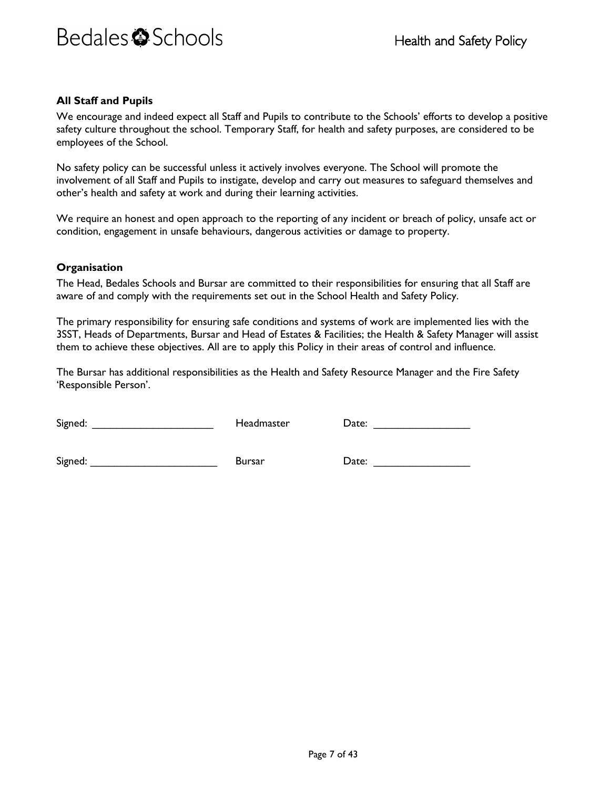#### <span id="page-6-0"></span>**All Staff and Pupils**

We encourage and indeed expect all Staff and Pupils to contribute to the Schools' efforts to develop a positive safety culture throughout the school. Temporary Staff, for health and safety purposes, are considered to be employees of the School.

No safety policy can be successful unless it actively involves everyone. The School will promote the involvement of all Staff and Pupils to instigate, develop and carry out measures to safeguard themselves and other's health and safety at work and during their learning activities.

We require an honest and open approach to the reporting of any incident or breach of policy, unsafe act or condition, engagement in unsafe behaviours, dangerous activities or damage to property.

#### <span id="page-6-1"></span>**Organisation**

The Head, Bedales Schools and Bursar are committed to their responsibilities for ensuring that all Staff are aware of and comply with the requirements set out in the School Health and Safety Policy.

The primary responsibility for ensuring safe conditions and systems of work are implemented lies with the 3SST, Heads of Departments, Bursar and Head of Estates & Facilities; the Health & Safety Manager will assist them to achieve these objectives. All are to apply this Policy in their areas of control and influence.

The Bursar has additional responsibilities as the Health and Safety Resource Manager and the Fire Safety 'Responsible Person'.

| Signed: |  |
|---------|--|
|         |  |

 $\sf{Headmaster}$  Date:  $\sf{Date:}$ 

Signed: The Contract Science of Bursar Contract Date: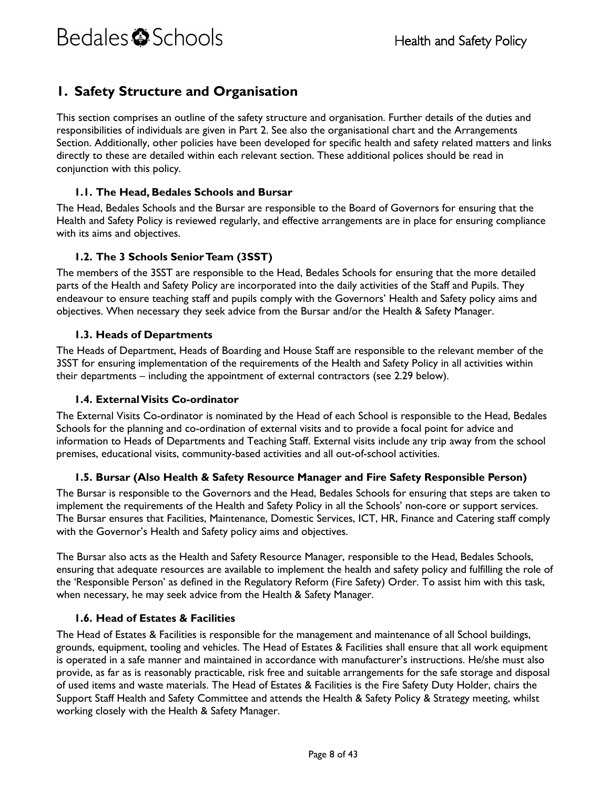### <span id="page-7-0"></span>**1. Safety Structure and Organisation**

This section comprises an outline of the safety structure and organisation. Further details of the duties and responsibilities of individuals are given in Part 2. See also the organisational chart and the Arrangements Section. Additionally, other policies have been developed for specific health and safety related matters and links directly to these are detailed within each relevant section. These additional polices should be read in conjunction with this policy.

#### <span id="page-7-1"></span>**1.1. The Head, Bedales Schools and Bursar**

The Head, Bedales Schools and the Bursar are responsible to the Board of Governors for ensuring that the Health and Safety Policy is reviewed regularly, and effective arrangements are in place for ensuring compliance with its aims and objectives.

#### <span id="page-7-2"></span>**1.2. The 3 Schools Senior Team (3SST)**

The members of the 3SST are responsible to the Head, Bedales Schools for ensuring that the more detailed parts of the Health and Safety Policy are incorporated into the daily activities of the Staff and Pupils. They endeavour to ensure teaching staff and pupils comply with the Governors' Health and Safety policy aims and objectives. When necessary they seek advice from the Bursar and/or the Health & Safety Manager.

#### <span id="page-7-3"></span>**1.3. Heads of Departments**

The Heads of Department, Heads of Boarding and House Staff are responsible to the relevant member of the 3SST for ensuring implementation of the requirements of the Health and Safety Policy in all activities within their departments – including the appointment of external contractors (see 2.29 below).

#### <span id="page-7-4"></span>**1.4. External Visits Co-ordinator**

The External Visits Co-ordinator is nominated by the Head of each School is responsible to the Head, Bedales Schools for the planning and co-ordination of external visits and to provide a focal point for advice and information to Heads of Departments and Teaching Staff. External visits include any trip away from the school premises, educational visits, community-based activities and all out-of-school activities.

#### <span id="page-7-5"></span>**1.5. Bursar (Also Health & Safety Resource Manager and Fire Safety Responsible Person)**

The Bursar is responsible to the Governors and the Head, Bedales Schools for ensuring that steps are taken to implement the requirements of the Health and Safety Policy in all the Schools' non-core or support services. The Bursar ensures that Facilities, Maintenance, Domestic Services, ICT, HR, Finance and Catering staff comply with the Governor's Health and Safety policy aims and objectives.

The Bursar also acts as the Health and Safety Resource Manager, responsible to the Head, Bedales Schools, ensuring that adequate resources are available to implement the health and safety policy and fulfilling the role of the 'Responsible Person' as defined in the Regulatory Reform (Fire Safety) Order. To assist him with this task, when necessary, he may seek advice from the Health & Safety Manager.

#### <span id="page-7-6"></span>**1.6. Head of Estates & Facilities**

The Head of Estates & Facilities is responsible for the management and maintenance of all School buildings, grounds, equipment, tooling and vehicles. The Head of Estates & Facilities shall ensure that all work equipment is operated in a safe manner and maintained in accordance with manufacturer's instructions. He/she must also provide, as far as is reasonably practicable, risk free and suitable arrangements for the safe storage and disposal of used items and waste materials. The Head of Estates & Facilities is the Fire Safety Duty Holder, chairs the Support Staff Health and Safety Committee and attends the Health & Safety Policy & Strategy meeting, whilst working closely with the Health & Safety Manager.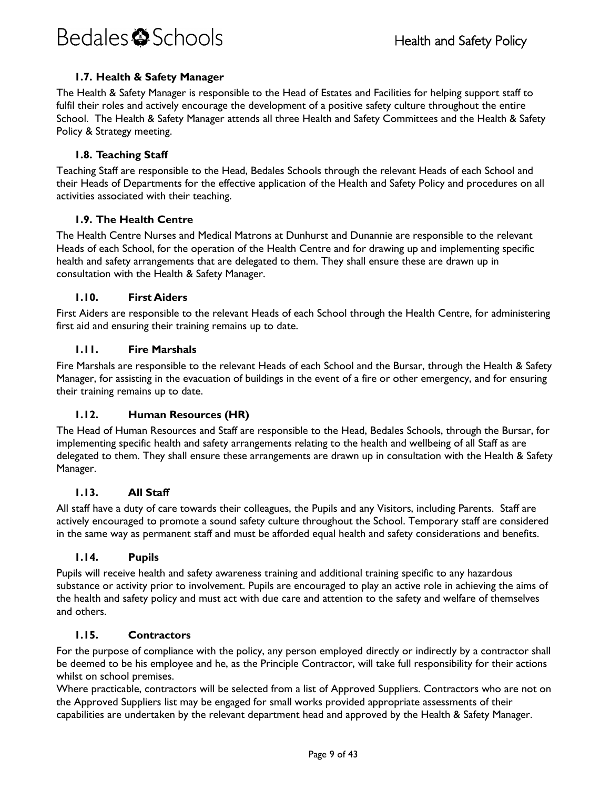#### **1.7. Health & Safety Manager**

<span id="page-8-0"></span>The Health & Safety Manager is responsible to the Head of Estates and Facilities for helping support staff to fulfil their roles and actively encourage the development of a positive safety culture throughout the entire School. The Health & Safety Manager attends all three Health and Safety Committees and the Health & Safety Policy & Strategy meeting.

#### <span id="page-8-1"></span>**1.8. Teaching Staff**

Teaching Staff are responsible to the Head, Bedales Schools through the relevant Heads of each School and their Heads of Departments for the effective application of the Health and Safety Policy and procedures on all activities associated with their teaching.

#### <span id="page-8-2"></span>**1.9. The Health Centre**

The Health Centre Nurses and Medical Matrons at Dunhurst and Dunannie are responsible to the relevant Heads of each School, for the operation of the Health Centre and for drawing up and implementing specific health and safety arrangements that are delegated to them. They shall ensure these are drawn up in consultation with the Health & Safety Manager.

#### <span id="page-8-3"></span>**1.10. First Aiders**

First Aiders are responsible to the relevant Heads of each School through the Health Centre, for administering first aid and ensuring their training remains up to date.

#### <span id="page-8-4"></span>**1.11. Fire Marshals**

Fire Marshals are responsible to the relevant Heads of each School and the Bursar, through the Health & Safety Manager, for assisting in the evacuation of buildings in the event of a fire or other emergency, and for ensuring their training remains up to date.

#### <span id="page-8-5"></span>**1.12. Human Resources (HR)**

The Head of Human Resources and Staff are responsible to the Head, Bedales Schools, through the Bursar, for implementing specific health and safety arrangements relating to the health and wellbeing of all Staff as are delegated to them. They shall ensure these arrangements are drawn up in consultation with the Health & Safety Manager.

#### <span id="page-8-6"></span>**1.13. All Staff**

All staff have a duty of care towards their colleagues, the Pupils and any Visitors, including Parents. Staff are actively encouraged to promote a sound safety culture throughout the School. Temporary staff are considered in the same way as permanent staff and must be afforded equal health and safety considerations and benefits.

#### <span id="page-8-7"></span>**1.14. Pupils**

Pupils will receive health and safety awareness training and additional training specific to any hazardous substance or activity prior to involvement. Pupils are encouraged to play an active role in achieving the aims of the health and safety policy and must act with due care and attention to the safety and welfare of themselves and others.

#### <span id="page-8-8"></span>**1.15. Contractors**

For the purpose of compliance with the policy, any person employed directly or indirectly by a contractor shall be deemed to be his employee and he, as the Principle Contractor, will take full responsibility for their actions whilst on school premises.

Where practicable, contractors will be selected from a list of Approved Suppliers. Contractors who are not on the Approved Suppliers list may be engaged for small works provided appropriate assessments of their capabilities are undertaken by the relevant department head and approved by the Health & Safety Manager.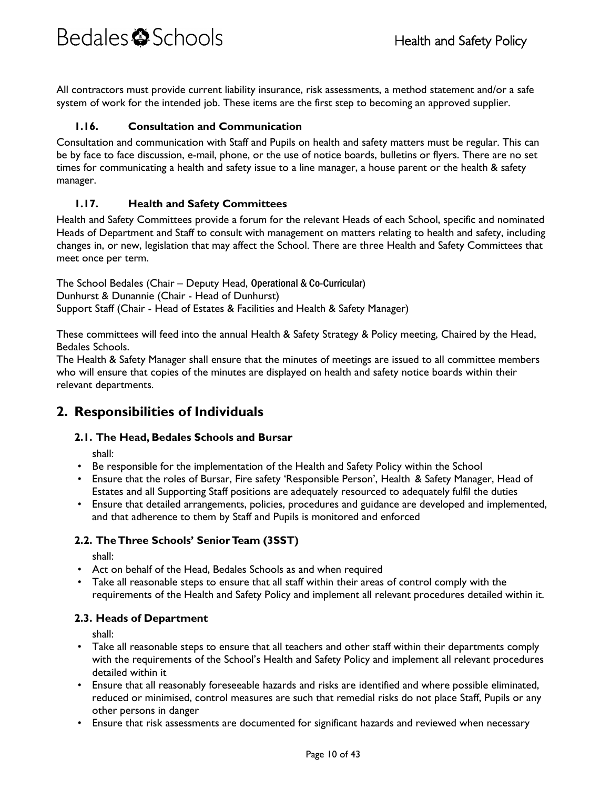All contractors must provide current liability insurance, risk assessments, a method statement and/or a safe system of work for the intended job. These items are the first step to becoming an approved supplier.

#### <span id="page-9-0"></span>**1.16. Consultation and Communication**

Consultation and communication with Staff and Pupils on health and safety matters must be regular. This can be by face to face discussion, e-mail, phone, or the use of notice boards, bulletins or flyers. There are no set times for communicating a health and safety issue to a line manager, a house parent or the health & safety manager.

#### <span id="page-9-1"></span>**1.17. Health and Safety Committees**

Health and Safety Committees provide a forum for the relevant Heads of each School, specific and nominated Heads of Department and Staff to consult with management on matters relating to health and safety, including changes in, or new, legislation that may affect the School. There are three Health and Safety Committees that meet once per term.

The School Bedales (Chair – Deputy Head, Operational & Co-Curricular) Dunhurst & Dunannie (Chair - Head of Dunhurst) Support Staff (Chair - Head of Estates & Facilities and Health & Safety Manager)

These committees will feed into the annual Health & Safety Strategy & Policy meeting, Chaired by the Head, Bedales Schools.

The Health & Safety Manager shall ensure that the minutes of meetings are issued to all committee members who will ensure that copies of the minutes are displayed on health and safety notice boards within their relevant departments.

### <span id="page-9-3"></span><span id="page-9-2"></span>**2. Responsibilities of Individuals**

#### **2.1. The Head, Bedales Schools and Bursar**

shall:

- Be responsible for the implementation of the Health and Safety Policy within the School
- Ensure that the roles of Bursar, Fire safety 'Responsible Person', Health & Safety Manager, Head of Estates and all Supporting Staff positions are adequately resourced to adequately fulfil the duties
- Ensure that detailed arrangements, policies, procedures and guidance are developed and implemented, and that adherence to them by Staff and Pupils is monitored and enforced

#### <span id="page-9-4"></span>**2.2. The Three Schools' Senior Team (3SST)**

shall:

- Act on behalf of the Head, Bedales Schools as and when required
- Take all reasonable steps to ensure that all staff within their areas of control comply with the requirements of the Health and Safety Policy and implement all relevant procedures detailed within it.

#### <span id="page-9-5"></span>**2.3. Heads of Department**

- Take all reasonable steps to ensure that all teachers and other staff within their departments comply with the requirements of the School's Health and Safety Policy and implement all relevant procedures detailed within it
- Ensure that all reasonably foreseeable hazards and risks are identified and where possible eliminated, reduced or minimised, control measures are such that remedial risks do not place Staff, Pupils or any other persons in danger
- Ensure that risk assessments are documented for significant hazards and reviewed when necessary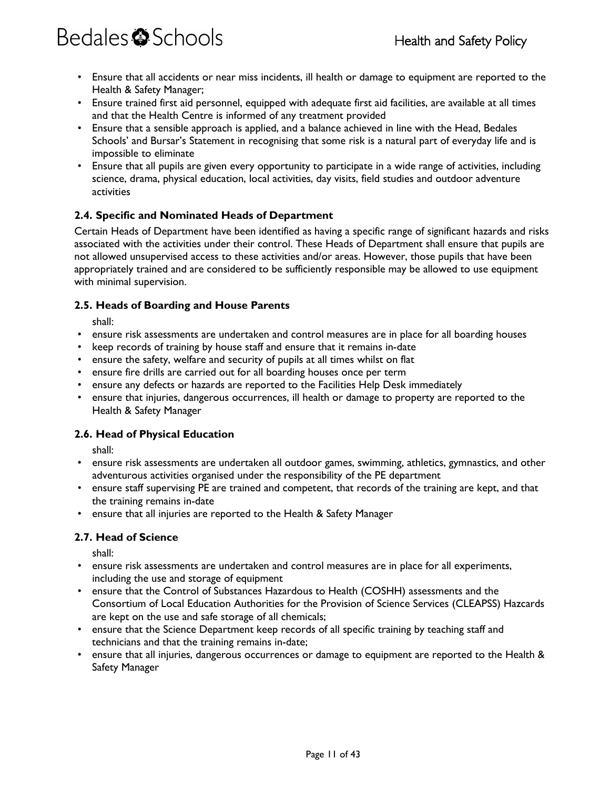- Ensure that all accidents or near miss incidents, ill health or damage to equipment are reported to the Health & Safety Manager;
- Ensure trained first aid personnel, equipped with adequate first aid facilities, are available at all times and that the Health Centre is informed of any treatment provided
- Ensure that a sensible approach is applied, and a balance achieved in line with the Head, Bedales Schools' and Bursar's Statement in recognising that some risk is a natural part of everyday life and is impossible to eliminate
- Ensure that all pupils are given every opportunity to participate in a wide range of activities, including science, drama, physical education, local activities, day visits, field studies and outdoor adventure activities

#### <span id="page-10-0"></span>**2.4. Specific and Nominated Heads of Department**

Certain Heads of Department have been identified as having a specific range of significant hazards and risks associated with the activities under their control. These Heads of Department shall ensure that pupils are not allowed unsupervised access to these activities and/or areas. However, those pupils that have been appropriately trained and are considered to be sufficiently responsible may be allowed to use equipment with minimal supervision.

#### <span id="page-10-1"></span>**2.5. Heads of Boarding and House Parents**

shall:

- ensure risk assessments are undertaken and control measures are in place for all boarding houses
- keep records of training by house staff and ensure that it remains in-date
- ensure the safety, welfare and security of pupils at all times whilst on flat
- ensure fire drills are carried out for all boarding houses once per term
- ensure any defects or hazards are reported to the Facilities Help Desk immediately
- ensure that injuries, dangerous occurrences, ill health or damage to property are reported to the Health & Safety Manager

#### <span id="page-10-2"></span>**2.6. Head of Physical Education**

shall:

- ensure risk assessments are undertaken all outdoor games, swimming, athletics, gymnastics, and other adventurous activities organised under the responsibility of the PE department
- ensure staff supervising PE are trained and competent, that records of the training are kept, and that the training remains in-date
- ensure that all injuries are reported to the Health & Safety Manager

#### <span id="page-10-3"></span>**2.7. Head of Science**

- ensure risk assessments are undertaken and control measures are in place for all experiments, including the use and storage of equipment
- ensure that the Control of Substances Hazardous to Health (COSHH) assessments and the Consortium of Local Education Authorities for the Provision of Science Services (CLEAPSS) Hazcards are kept on the use and safe storage of all chemicals;
- ensure that the Science Department keep records of all specific training by teaching staff and technicians and that the training remains in-date;
- ensure that all injuries, dangerous occurrences or damage to equipment are reported to the Health & Safety Manager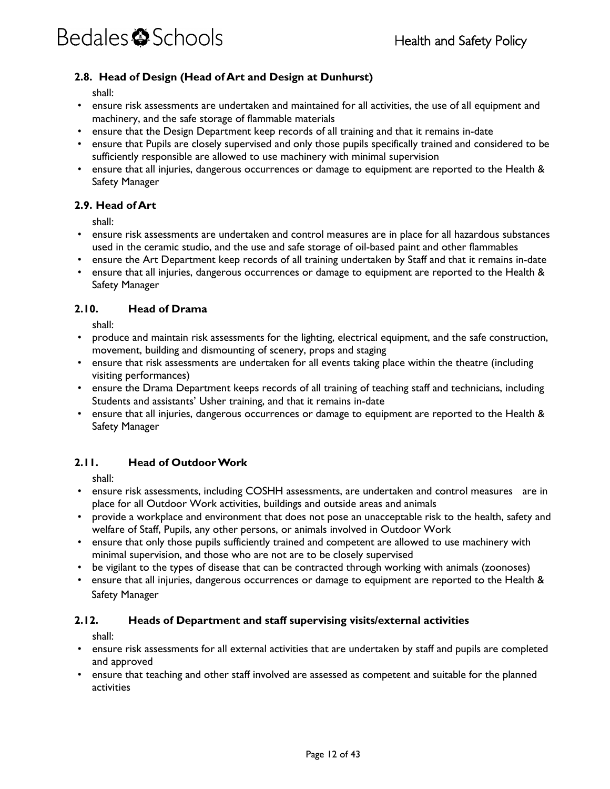#### **2.8. Head of Design (Head of Art and Design at Dunhurst)**

<span id="page-11-0"></span>shall:

- ensure risk assessments are undertaken and maintained for all activities, the use of all equipment and machinery, and the safe storage of flammable materials
- ensure that the Design Department keep records of all training and that it remains in-date
- ensure that Pupils are closely supervised and only those pupils specifically trained and considered to be sufficiently responsible are allowed to use machinery with minimal supervision
- ensure that all injuries, dangerous occurrences or damage to equipment are reported to the Health & Safety Manager

#### <span id="page-11-1"></span>**2.9. Head of Art**

shall:

- ensure risk assessments are undertaken and control measures are in place for all hazardous substances used in the ceramic studio, and the use and safe storage of oil-based paint and other flammables
- ensure the Art Department keep records of all training undertaken by Staff and that it remains in-date
- ensure that all injuries, dangerous occurrences or damage to equipment are reported to the Health & Safety Manager

#### <span id="page-11-2"></span>**2.10. Head of Drama**

shall:

- produce and maintain risk assessments for the lighting, electrical equipment, and the safe construction, movement, building and dismounting of scenery, props and staging
- ensure that risk assessments are undertaken for all events taking place within the theatre (including visiting performances)
- ensure the Drama Department keeps records of all training of teaching staff and technicians, including Students and assistants' Usher training, and that it remains in-date
- ensure that all injuries, dangerous occurrences or damage to equipment are reported to the Health & Safety Manager

#### <span id="page-11-3"></span>**2.11. Head of Outdoor Work**

shall:

- ensure risk assessments, including COSHH assessments, are undertaken and control measures are in place for all Outdoor Work activities, buildings and outside areas and animals
- provide a workplace and environment that does not pose an unacceptable risk to the health, safety and welfare of Staff, Pupils, any other persons, or animals involved in Outdoor Work
- ensure that only those pupils sufficiently trained and competent are allowed to use machinery with minimal supervision, and those who are not are to be closely supervised
- be vigilant to the types of disease that can be contracted through working with animals (zoonoses)
- ensure that all injuries, dangerous occurrences or damage to equipment are reported to the Health & Safety Manager

#### <span id="page-11-4"></span>**2.12. Heads of Department and staff supervising visits/external activities**

- ensure risk assessments for all external activities that are undertaken by staff and pupils are completed and approved
- ensure that teaching and other staff involved are assessed as competent and suitable for the planned activities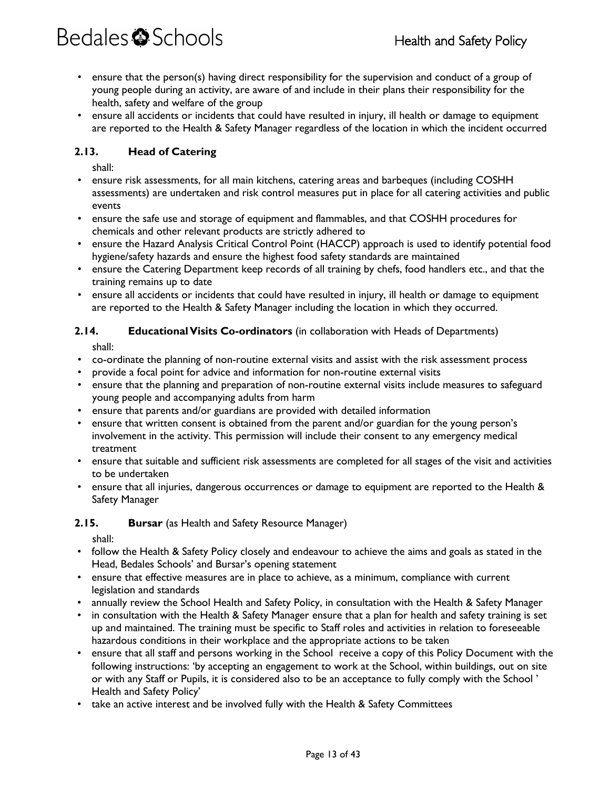- ensure that the person(s) having direct responsibility for the supervision and conduct of a group of young people during an activity, are aware of and include in their plans their responsibility for the health, safety and welfare of the group
- ensure all accidents or incidents that could have resulted in injury, ill health or damage to equipment are reported to the Health & Safety Manager regardless of the location in which the incident occurred

#### <span id="page-12-0"></span>**2.13. Head of Catering**

shall:

- ensure risk assessments, for all main kitchens, catering areas and barbeques (including COSHH assessments) are undertaken and risk control measures put in place for all catering activities and public events
- ensure the safe use and storage of equipment and flammables, and that COSHH procedures for chemicals and other relevant products are strictly adhered to
- ensure the Hazard Analysis Critical Control Point (HACCP) approach is used to identify potential food hygiene/safety hazards and ensure the highest food safety standards are maintained
- ensure the Catering Department keep records of all training by chefs, food handlers etc., and that the training remains up to date
- ensure all accidents or incidents that could have resulted in injury, ill health or damage to equipment are reported to the Health & Safety Manager including the location in which they occurred.

#### <span id="page-12-1"></span>**2.14. Educational Visits Co-ordinators** (in collaboration with Heads of Departments)

shall:

- co-ordinate the planning of non-routine external visits and assist with the risk assessment process
- provide a focal point for advice and information for non-routine external visits
- ensure that the planning and preparation of non-routine external visits include measures to safeguard young people and accompanying adults from harm
- ensure that parents and/or guardians are provided with detailed information
- ensure that written consent is obtained from the parent and/or guardian for the young person's involvement in the activity. This permission will include their consent to any emergency medical treatment
- ensure that suitable and sufficient risk assessments are completed for all stages of the visit and activities to be undertaken
- ensure that all injuries, dangerous occurrences or damage to equipment are reported to the Health & Safety Manager

#### <span id="page-12-2"></span>**2.15. Bursar** (as Health and Safety Resource Manager)

- follow the Health & Safety Policy closely and endeavour to achieve the aims and goals as stated in the Head, Bedales Schools' and Bursar's opening statement
- ensure that effective measures are in place to achieve, as a minimum, compliance with current legislation and standards
- annually review the School Health and Safety Policy, in consultation with the Health & Safety Manager
- in consultation with the Health & Safety Manager ensure that a plan for health and safety training is set up and maintained. The training must be specific to Staff roles and activities in relation to foreseeable hazardous conditions in their workplace and the appropriate actions to be taken
- ensure that all staff and persons working in the School receive a copy of this Policy Document with the following instructions: 'by accepting an engagement to work at the School, within buildings, out on site or with any Staff or Pupils, it is considered also to be an acceptance to fully comply with the School ' Health and Safety Policy'
- take an active interest and be involved fully with the Health & Safety Committees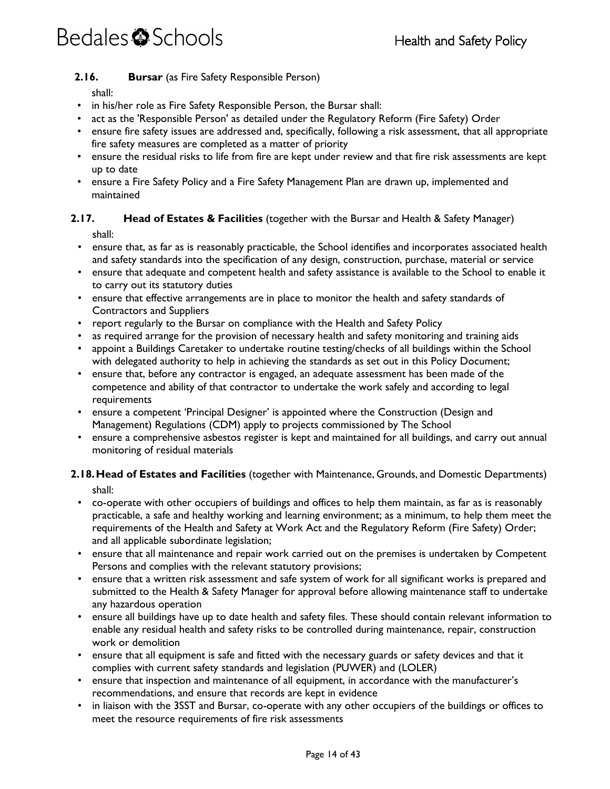#### <span id="page-13-0"></span>**2.16. Bursar** (as Fire Safety Responsible Person)

shall:

- in his/her role as Fire Safety Responsible Person, the Bursar shall:
- act as the 'Responsible Person' as detailed under the Regulatory Reform (Fire Safety) Order
- ensure fire safety issues are addressed and, specifically, following a risk assessment, that all appropriate fire safety measures are completed as a matter of priority
- ensure the residual risks to life from fire are kept under review and that fire risk assessments are kept up to date
- <span id="page-13-1"></span>• ensure a Fire Safety Policy and a Fire Safety Management Plan are drawn up, implemented and maintained

#### **2.17. Head of Estates & Facilities** (together with the Bursar and Health & Safety Manager) shall:

- ensure that, as far as is reasonably practicable, the School identifies and incorporates associated health and safety standards into the specification of any design, construction, purchase, material or service
- ensure that adequate and competent health and safety assistance is available to the School to enable it to carry out its statutory duties
- ensure that effective arrangements are in place to monitor the health and safety standards of Contractors and Suppliers
- report regularly to the Bursar on compliance with the Health and Safety Policy
- as required arrange for the provision of necessary health and safety monitoring and training aids
- appoint a Buildings Caretaker to undertake routine testing/checks of all buildings within the School with delegated authority to help in achieving the standards as set out in this Policy Document;
- ensure that, before any contractor is engaged, an adequate assessment has been made of the competence and ability of that contractor to undertake the work safely and according to legal requirements
- ensure a competent 'Principal Designer' is appointed where the Construction (Design and Management) Regulations (CDM) apply to projects commissioned by The School
- ensure a comprehensive asbestos register is kept and maintained for all buildings, and carry out annual monitoring of residual materials

#### <span id="page-13-2"></span>**2.18.Head of Estates and Facilities** (together with Maintenance, Grounds, and Domestic Departments) shall:

- co-operate with other occupiers of buildings and offices to help them maintain, as far as is reasonably practicable, a safe and healthy working and learning environment; as a minimum, to help them meet the requirements of the Health and Safety at Work Act and the Regulatory Reform (Fire Safety) Order; and all applicable subordinate legislation;
- ensure that all maintenance and repair work carried out on the premises is undertaken by Competent Persons and complies with the relevant statutory provisions;
- ensure that a written risk assessment and safe system of work for all significant works is prepared and submitted to the Health & Safety Manager for approval before allowing maintenance staff to undertake any hazardous operation
- ensure all buildings have up to date health and safety files. These should contain relevant information to enable any residual health and safety risks to be controlled during maintenance, repair, construction work or demolition
- ensure that all equipment is safe and fitted with the necessary guards or safety devices and that it complies with current safety standards and legislation (PUWER) and (LOLER)
- ensure that inspection and maintenance of all equipment, in accordance with the manufacturer's recommendations, and ensure that records are kept in evidence
- in liaison with the 3SST and Bursar, co-operate with any other occupiers of the buildings or offices to meet the resource requirements of fire risk assessments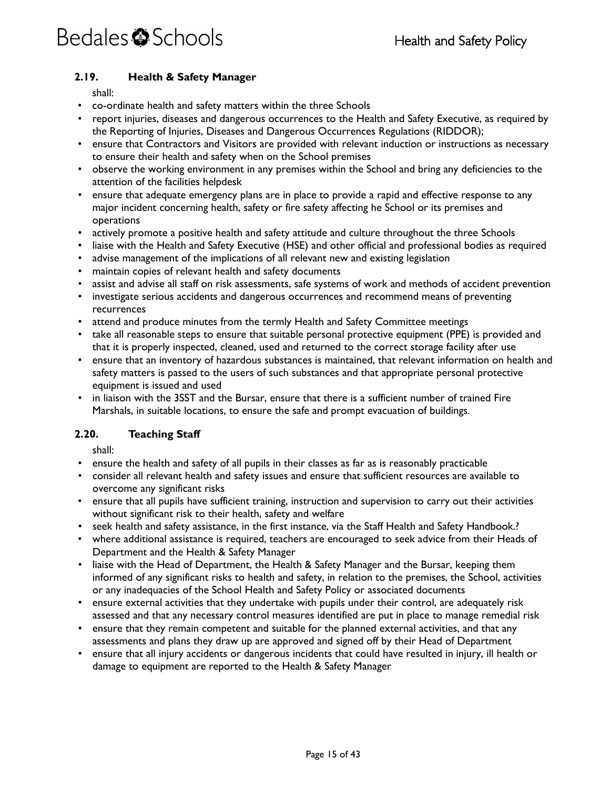#### <span id="page-14-0"></span>**2.19. Health & Safety Manager**

shall:

- co-ordinate health and safety matters within the three Schools
- report injuries, diseases and dangerous occurrences to the Health and Safety Executive, as required by the Reporting of Injuries, Diseases and Dangerous Occurrences Regulations (RIDDOR);
- ensure that Contractors and Visitors are provided with relevant induction or instructions as necessary to ensure their health and safety when on the School premises
- observe the working environment in any premises within the School and bring any deficiencies to the attention of the facilities helpdesk
- ensure that adequate emergency plans are in place to provide a rapid and effective response to any major incident concerning health, safety or fire safety affecting he School or its premises and operations
- actively promote a positive health and safety attitude and culture throughout the three Schools
- liaise with the Health and Safety Executive (HSE) and other official and professional bodies as required
- advise management of the implications of all relevant new and existing legislation
- maintain copies of relevant health and safety documents
- assist and advise all staff on risk assessments, safe systems of work and methods of accident prevention
- investigate serious accidents and dangerous occurrences and recommend means of preventing recurrences
- attend and produce minutes from the termly Health and Safety Committee meetings
- take all reasonable steps to ensure that suitable personal protective equipment (PPE) is provided and that it is properly inspected, cleaned, used and returned to the correct storage facility after use
- ensure that an inventory of hazardous substances is maintained, that relevant information on health and safety matters is passed to the users of such substances and that appropriate personal protective equipment is issued and used
- in liaison with the 3SST and the Bursar, ensure that there is a sufficient number of trained Fire Marshals, in suitable locations, to ensure the safe and prompt evacuation of buildings.

#### <span id="page-14-1"></span>**2.20. Teaching Staff**

- ensure the health and safety of all pupils in their classes as far as is reasonably practicable
- consider all relevant health and safety issues and ensure that sufficient resources are available to overcome any significant risks
- ensure that all pupils have sufficient training, instruction and supervision to carry out their activities without significant risk to their health, safety and welfare
- seek health and safety assistance, in the first instance, via the Staff Health and Safety Handbook.?
- where additional assistance is required, teachers are encouraged to seek advice from their Heads of Department and the Health & Safety Manager
- liaise with the Head of Department, the Health & Safety Manager and the Bursar, keeping them informed of any significant risks to health and safety, in relation to the premises, the School, activities or any inadequacies of the School Health and Safety Policy or associated documents
- ensure external activities that they undertake with pupils under their control, are adequately risk assessed and that any necessary control measures identified are put in place to manage remedial risk
- ensure that they remain competent and suitable for the planned external activities, and that any assessments and plans they draw up are approved and signed off by their Head of Department
- ensure that all injury accidents or dangerous incidents that could have resulted in injury, ill health or damage to equipment are reported to the Health & Safety Manager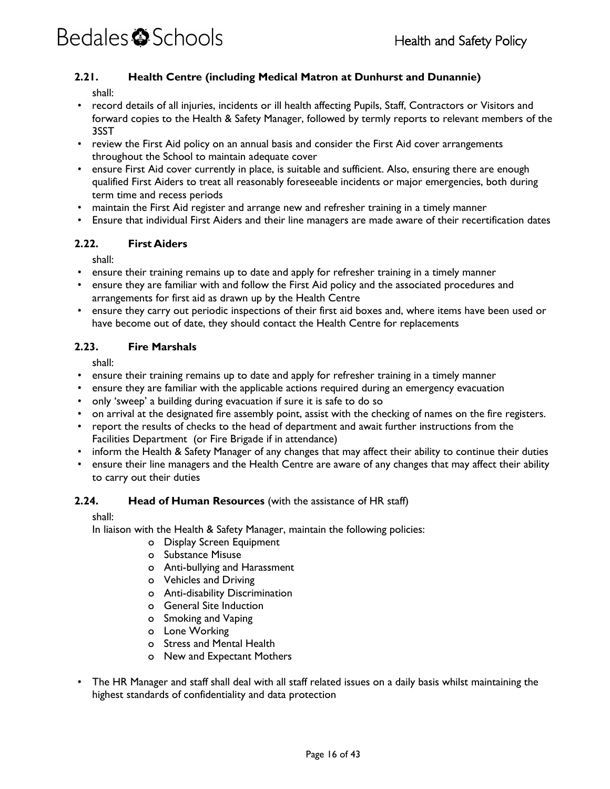#### <span id="page-15-0"></span>**2.21. Health Centre (including Medical Matron at Dunhurst and Dunannie)**

shall:

- record details of all injuries, incidents or ill health affecting Pupils, Staff, Contractors or Visitors and forward copies to the Health & Safety Manager, followed by termly reports to relevant members of the 3SST
- review the First Aid policy on an annual basis and consider the First Aid cover arrangements throughout the School to maintain adequate cover
- ensure First Aid cover currently in place, is suitable and sufficient. Also, ensuring there are enough qualified First Aiders to treat all reasonably foreseeable incidents or major emergencies, both during term time and recess periods
- maintain the First Aid register and arrange new and refresher training in a timely manner
- Ensure that individual First Aiders and their line managers are made aware of their recertification dates

#### <span id="page-15-1"></span>**2.22. First Aiders**

shall:

- ensure their training remains up to date and apply for refresher training in a timely manner
- ensure they are familiar with and follow the First Aid policy and the associated procedures and arrangements for first aid as drawn up by the Health Centre
- ensure they carry out periodic inspections of their first aid boxes and, where items have been used or have become out of date, they should contact the Health Centre for replacements

#### <span id="page-15-2"></span>**2.23. Fire Marshals**

shall:

- ensure their training remains up to date and apply for refresher training in a timely manner
- ensure they are familiar with the applicable actions required during an emergency evacuation
- only 'sweep' a building during evacuation if sure it is safe to do so
- on arrival at the designated fire assembly point, assist with the checking of names on the fire registers.
- report the results of checks to the head of department and await further instructions from the Facilities Department (or Fire Brigade if in attendance)
- inform the Health & Safety Manager of any changes that may affect their ability to continue their duties
- ensure their line managers and the Health Centre are aware of any changes that may affect their ability to carry out their duties

#### <span id="page-15-3"></span>**2.24. Head of Human Resources** (with the assistance of HR staff)

shall:

In liaison with the Health & Safety Manager, maintain the following policies:

- o Display Screen Equipment
- o Substance Misuse
- o Anti-bullying and Harassment
- o Vehicles and Driving
- o Anti-disability Discrimination
- o General Site Induction
- o Smoking and Vaping
- o Lone Working
- o Stress and Mental Health
- o New and Expectant Mothers
- The HR Manager and staff shall deal with all staff related issues on a daily basis whilst maintaining the highest standards of confidentiality and data protection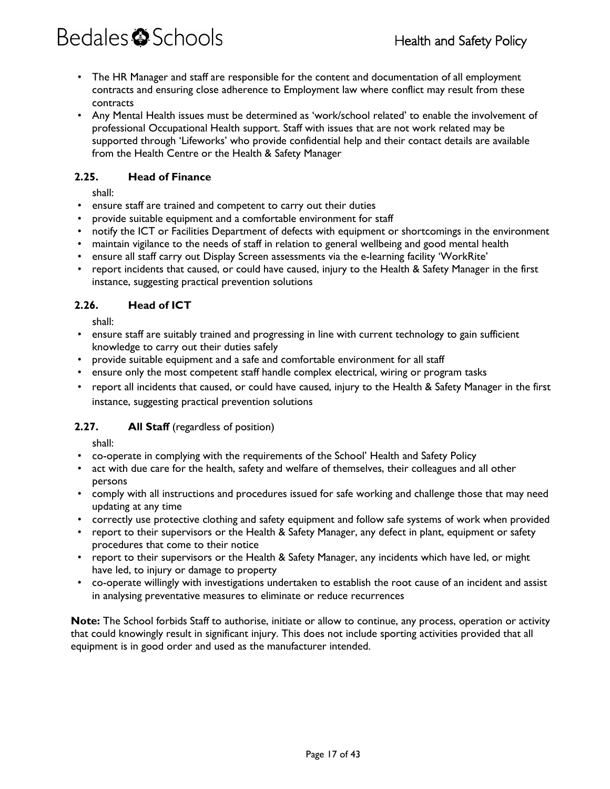- The HR Manager and staff are responsible for the content and documentation of all employment contracts and ensuring close adherence to Employment law where conflict may result from these contracts
- Any Mental Health issues must be determined as 'work/school related' to enable the involvement of professional Occupational Health support. Staff with issues that are not work related may be supported through 'Lifeworks' who provide confidential help and their contact details are available from the Health Centre or the Health & Safety Manager

#### <span id="page-16-0"></span>**2.25. Head of Finance**

shall:

- ensure staff are trained and competent to carry out their duties
- provide suitable equipment and a comfortable environment for staff
- notify the ICT or Facilities Department of defects with equipment or shortcomings in the environment
- maintain vigilance to the needs of staff in relation to general wellbeing and good mental health
- ensure all staff carry out Display Screen assessments via the e-learning facility 'WorkRite'
- report incidents that caused, or could have caused, injury to the Health & Safety Manager in the first instance, suggesting practical prevention solutions

#### <span id="page-16-1"></span>**2.26. Head of ICT**

shall:

- ensure staff are suitably trained and progressing in line with current technology to gain sufficient knowledge to carry out their duties safely
- provide suitable equipment and a safe and comfortable environment for all staff
- ensure only the most competent staff handle complex electrical, wiring or program tasks
- report all incidents that caused, or could have caused, injury to the Health & Safety Manager in the first instance, suggesting practical prevention solutions

#### <span id="page-16-2"></span>2.27. **All Staff** (regardless of position)

shall:

- co-operate in complying with the requirements of the School' Health and Safety Policy
- act with due care for the health, safety and welfare of themselves, their colleagues and all other persons
- comply with all instructions and procedures issued for safe working and challenge those that may need updating at any time
- correctly use protective clothing and safety equipment and follow safe systems of work when provided
- report to their supervisors or the Health & Safety Manager, any defect in plant, equipment or safety procedures that come to their notice
- report to their supervisors or the Health & Safety Manager, any incidents which have led, or might have led, to injury or damage to property
- co-operate willingly with investigations undertaken to establish the root cause of an incident and assist in analysing preventative measures to eliminate or reduce recurrences

**Note:** The School forbids Staff to authorise, initiate or allow to continue, any process, operation or activity that could knowingly result in significant injury. This does not include sporting activities provided that all equipment is in good order and used as the manufacturer intended.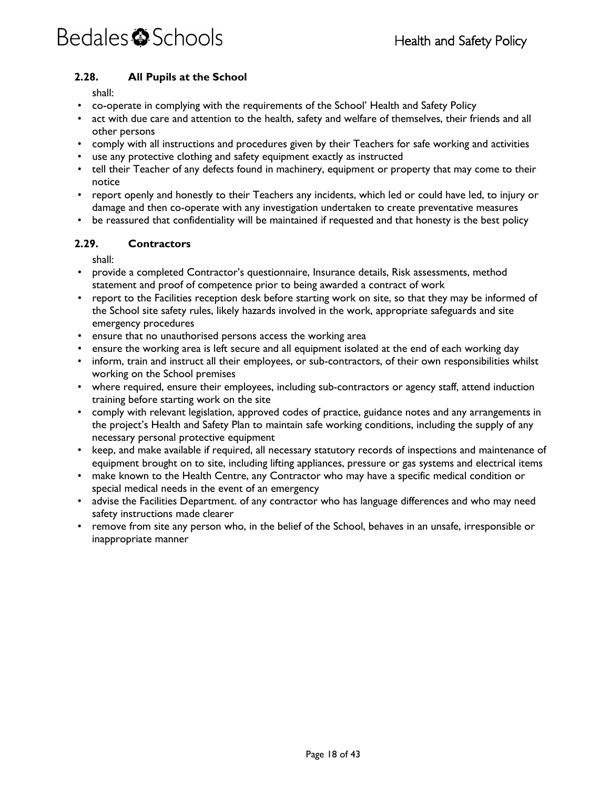#### <span id="page-17-0"></span>**2.28. All Pupils at the School**

shall:

- co-operate in complying with the requirements of the School' Health and Safety Policy
- act with due care and attention to the health, safety and welfare of themselves, their friends and all other persons
- comply with all instructions and procedures given by their Teachers for safe working and activities
- use any protective clothing and safety equipment exactly as instructed
- tell their Teacher of any defects found in machinery, equipment or property that may come to their notice
- report openly and honestly to their Teachers any incidents, which led or could have led, to injury or damage and then co-operate with any investigation undertaken to create preventative measures
- be reassured that confidentiality will be maintained if requested and that honesty is the best policy

#### <span id="page-17-1"></span>**2.29. Contractors**

- provide a completed Contractor's questionnaire, Insurance details, Risk assessments, method statement and proof of competence prior to being awarded a contract of work
- report to the Facilities reception desk before starting work on site, so that they may be informed of the School site safety rules, likely hazards involved in the work, appropriate safeguards and site emergency procedures
- ensure that no unauthorised persons access the working area
- ensure the working area is left secure and all equipment isolated at the end of each working day
- inform, train and instruct all their employees, or sub-contractors, of their own responsibilities whilst working on the School premises
- where required, ensure their employees, including sub-contractors or agency staff, attend induction training before starting work on the site
- comply with relevant legislation, approved codes of practice, guidance notes and any arrangements in the project's Health and Safety Plan to maintain safe working conditions, including the supply of any necessary personal protective equipment
- keep, and make available if required, all necessary statutory records of inspections and maintenance of equipment brought on to site, including lifting appliances, pressure or gas systems and electrical items
- make known to the Health Centre, any Contractor who may have a specific medical condition or special medical needs in the event of an emergency
- advise the Facilities Department. of any contractor who has language differences and who may need safety instructions made clearer
- remove from site any person who, in the belief of the School, behaves in an unsafe, irresponsible or inappropriate manner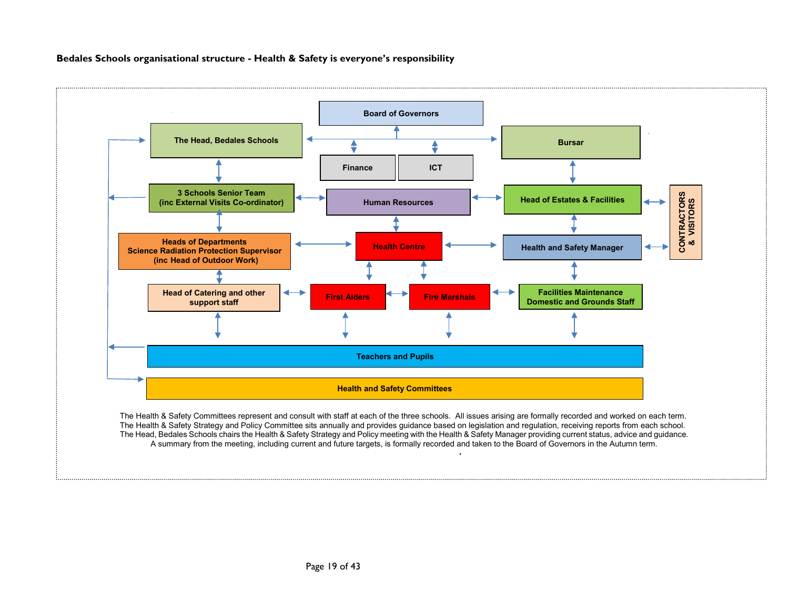#### **Bedales Schools organisational structure - Health & Safety is everyone's responsibility**

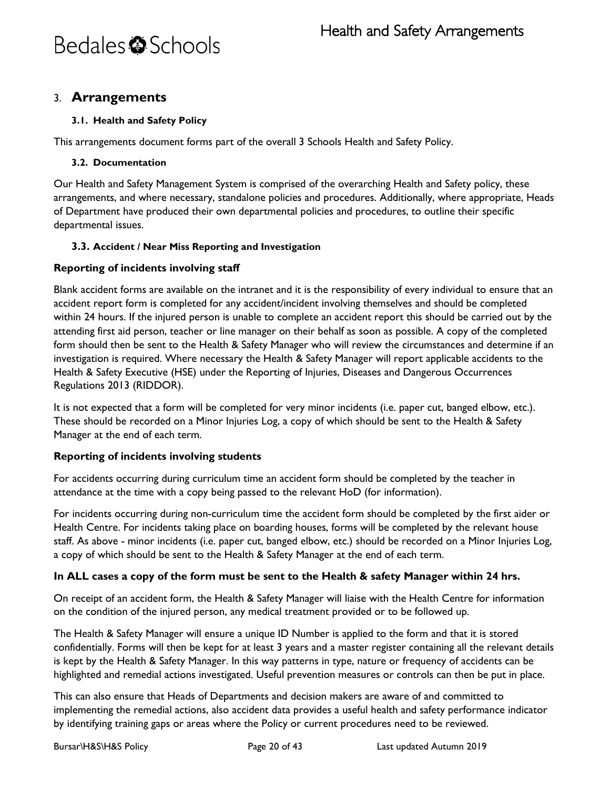### <span id="page-19-0"></span>3. **Arrangements**

#### <span id="page-19-1"></span>**3.1. Health and Safety Policy**

This arrangements document forms part of the overall 3 Schools Health and Safety Policy.

#### <span id="page-19-2"></span>**3.2. Documentation**

Our Health and Safety Management System is comprised of the overarching Health and Safety policy, these arrangements, and where necessary, standalone policies and procedures. Additionally, where appropriate, Heads of Department have produced their own departmental policies and procedures, to outline their specific departmental issues.

#### <span id="page-19-3"></span>**3.3. Accident / Near Miss Reporting and Investigation**

#### **Reporting of incidents involving staff**

Blank accident forms are available on the intranet and it is the responsibility of every individual to ensure that an accident report form is completed for any accident/incident involving themselves and should be completed within 24 hours. If the injured person is unable to complete an accident report this should be carried out by the attending first aid person, teacher or line manager on their behalf as soon as possible. A copy of the completed form should then be sent to the Health & Safety Manager who will review the circumstances and determine if an investigation is required. Where necessary the Health & Safety Manager will report applicable accidents to the Health & Safety Executive (HSE) under the Reporting of Injuries, Diseases and Dangerous Occurrences Regulations 2013 (RIDDOR).

It is not expected that a form will be completed for very minor incidents (i.e. paper cut, banged elbow, etc.). These should be recorded on a Minor Injuries Log, a copy of which should be sent to the Health & Safety Manager at the end of each term.

#### **Reporting of incidents involving students**

For accidents occurring during curriculum time an accident form should be completed by the teacher in attendance at the time with a copy being passed to the relevant HoD (for information).

For incidents occurring during non-curriculum time the accident form should be completed by the first aider or Health Centre. For incidents taking place on boarding houses, forms will be completed by the relevant house staff. As above - minor incidents (i.e. paper cut, banged elbow, etc.) should be recorded on a Minor Injuries Log, a copy of which should be sent to the Health & Safety Manager at the end of each term.

#### **In ALL cases a copy of the form must be sent to the Health & safety Manager within 24 hrs.**

On receipt of an accident form, the Health & Safety Manager will liaise with the Health Centre for information on the condition of the injured person, any medical treatment provided or to be followed up.

The Health & Safety Manager will ensure a unique ID Number is applied to the form and that it is stored confidentially. Forms will then be kept for at least 3 years and a master register containing all the relevant details is kept by the Health & Safety Manager. In this way patterns in type, nature or frequency of accidents can be highlighted and remedial actions investigated. Useful prevention measures or controls can then be put in place.

This can also ensure that Heads of Departments and decision makers are aware of and committed to implementing the remedial actions, also accident data provides a useful health and safety performance indicator by identifying training gaps or areas where the Policy or current procedures need to be reviewed.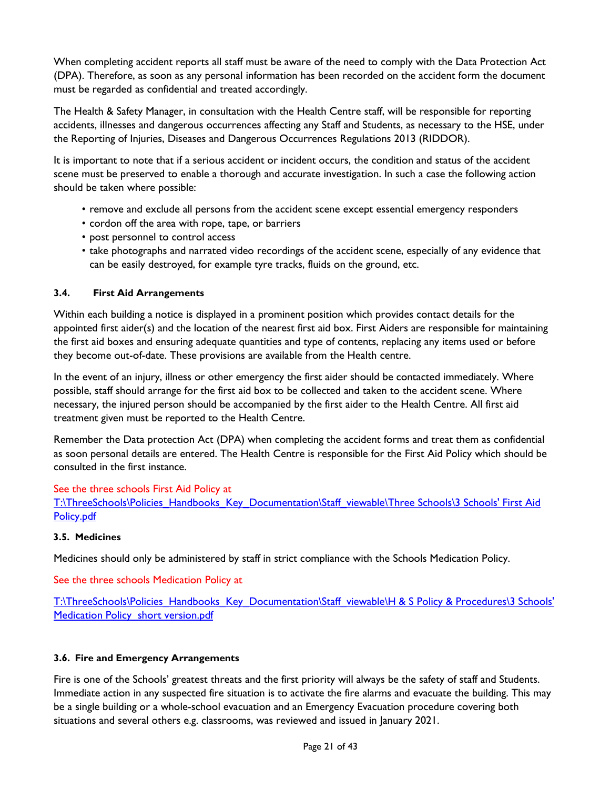When completing accident reports all staff must be aware of the need to comply with the Data Protection Act (DPA). Therefore, as soon as any personal information has been recorded on the accident form the document must be regarded as confidential and treated accordingly.

The Health & Safety Manager, in consultation with the Health Centre staff, will be responsible for reporting accidents, illnesses and dangerous occurrences affecting any Staff and Students, as necessary to the HSE, under the Reporting of Injuries, Diseases and Dangerous Occurrences Regulations 2013 (RIDDOR).

It is important to note that if a serious accident or incident occurs, the condition and status of the accident scene must be preserved to enable a thorough and accurate investigation. In such a case the following action should be taken where possible:

- remove and exclude all persons from the accident scene except essential emergency responders
- cordon off the area with rope, tape, or barriers
- post personnel to control access
- take photographs and narrated video recordings of the accident scene, especially of any evidence that can be easily destroyed, for example tyre tracks, fluids on the ground, etc.

#### <span id="page-20-0"></span>**3.4. First Aid Arrangements**

Within each building a notice is displayed in a prominent position which provides contact details for the appointed first aider(s) and the location of the nearest first aid box. First Aiders are responsible for maintaining the first aid boxes and ensuring adequate quantities and type of contents, replacing any items used or before they become out-of-date. These provisions are available from the Health centre.

In the event of an injury, illness or other emergency the first aider should be contacted immediately. Where possible, staff should arrange for the first aid box to be collected and taken to the accident scene. Where necessary, the injured person should be accompanied by the first aider to the Health Centre. All first aid treatment given must be reported to the Health Centre.

Remember the Data protection Act (DPA) when completing the accident forms and treat them as confidential as soon personal details are entered. The Health Centre is responsible for the First Aid Policy which should be consulted in the first instance.

#### See the three schools First Aid Policy at

T:\ThreeSchools\Policies\_Handbooks\_Key\_Documentation\Staff\_viewable\Three Schools\3 Schools' First Aid [Policy.pdf](file://vm-009-fs/root$/ThreeSchools/Policies_Handbooks_Key_Documentation/Staff_viewable/Three%20Schools/3%20Schools)

#### <span id="page-20-1"></span>**3.5. Medicines**

Medicines should only be administered by staff in strict compliance with the Schools Medication Policy.

See the three schools Medication Policy at

T:\ThreeSchools\Policies\_Handbooks\_Key\_Documentation\Staff\_viewable\H & S Policy & Procedures\3 Schools' Medication Policy short version.pdf

#### <span id="page-20-2"></span>**3.6. Fire and Emergency Arrangements**

Fire is one of the Schools' greatest threats and the first priority will always be the safety of staff and Students. Immediate action in any suspected fire situation is to activate the fire alarms and evacuate the building. This may be a single building or a whole-school evacuation and an Emergency Evacuation procedure covering both situations and several others e.g. classrooms, was reviewed and issued in January 2021.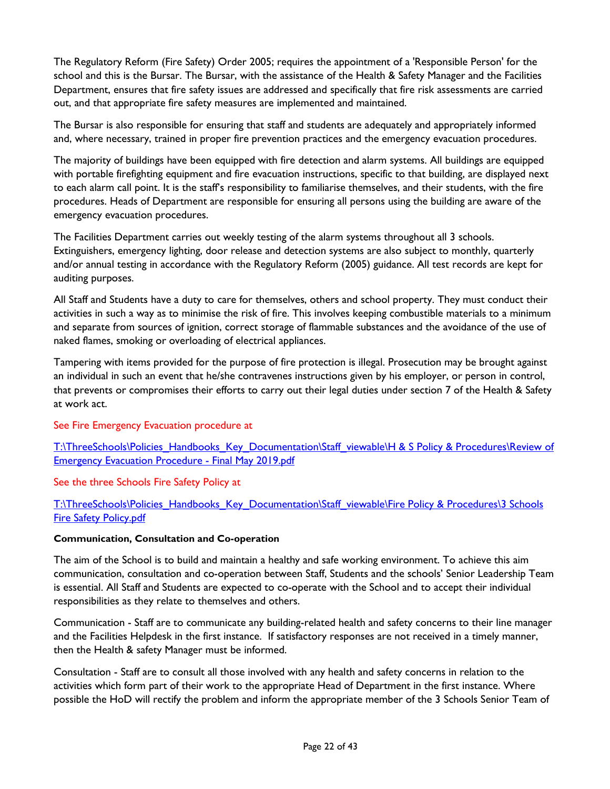The Regulatory Reform (Fire Safety) Order 2005; requires the appointment of a 'Responsible Person' for the school and this is the Bursar. The Bursar, with the assistance of the Health & Safety Manager and the Facilities Department, ensures that fire safety issues are addressed and specifically that fire risk assessments are carried out, and that appropriate fire safety measures are implemented and maintained.

The Bursar is also responsible for ensuring that staff and students are adequately and appropriately informed and, where necessary, trained in proper fire prevention practices and the emergency evacuation procedures.

The majority of buildings have been equipped with fire detection and alarm systems. All buildings are equipped with portable firefighting equipment and fire evacuation instructions, specific to that building, are displayed next to each alarm call point. It is the staff's responsibility to familiarise themselves, and their students, with the fire procedures. Heads of Department are responsible for ensuring all persons using the building are aware of the emergency evacuation procedures.

The Facilities Department carries out weekly testing of the alarm systems throughout all 3 schools. Extinguishers, emergency lighting, door release and detection systems are also subject to monthly, quarterly and/or annual testing in accordance with the Regulatory Reform (2005) guidance. All test records are kept for auditing purposes.

All Staff and Students have a duty to care for themselves, others and school property. They must conduct their activities in such a way as to minimise the risk of fire. This involves keeping combustible materials to a minimum and separate from sources of ignition, correct storage of flammable substances and the avoidance of the use of naked flames, smoking or overloading of electrical appliances.

Tampering with items provided for the purpose of fire protection is illegal. Prosecution may be brought against an individual in such an event that he/she contravenes instructions given by his employer, or person in control, that prevents or compromises their efforts to carry out their legal duties under section 7 of the Health & Safety at work act.

#### See Fire Emergency Evacuation procedure at

T:\ThreeSchools\Policies\_Handbooks\_Key\_Documentation\Staff\_viewable\H & S Policy & Procedures\Review of [Emergency Evacuation Procedure -](file://vm-009-fs/root$/ThreeSchools/Policies_Handbooks_Key_Documentation/Staff_viewable/H%20&%20S%20Policy%20&%20Procedures/Review%20of%20Emergency%20Evacuation%20Procedure%20-%20Final%20May%202019.pdf) Final May 2019.pdf

See the three Schools Fire Safety Policy at

[T:\ThreeSchools\Policies\\_Handbooks\\_Key\\_Documentation\Staff\\_viewable\Fire Policy & Procedures\3 Schools](file://vm-009-fs/root$/ThreeSchools/Policies_Handbooks_Key_Documentation/Staff_viewable/Fire%20Policy%20&%20Procedures/3%20Schools%20Fire%20Safety%20Policy.pdf)  [Fire Safety Policy.pdf](file://vm-009-fs/root$/ThreeSchools/Policies_Handbooks_Key_Documentation/Staff_viewable/Fire%20Policy%20&%20Procedures/3%20Schools%20Fire%20Safety%20Policy.pdf)

#### **Communication, Consultation and Co-operation**

The aim of the School is to build and maintain a healthy and safe working environment. To achieve this aim communication, consultation and co-operation between Staff, Students and the schools' Senior Leadership Team is essential. All Staff and Students are expected to co-operate with the School and to accept their individual responsibilities as they relate to themselves and others.

Communication - Staff are to communicate any building-related health and safety concerns to their line manager and the Facilities Helpdesk in the first instance. If satisfactory responses are not received in a timely manner, then the Health & safety Manager must be informed.

Consultation - Staff are to consult all those involved with any health and safety concerns in relation to the activities which form part of their work to the appropriate Head of Department in the first instance. Where possible the HoD will rectify the problem and inform the appropriate member of the 3 Schools Senior Team of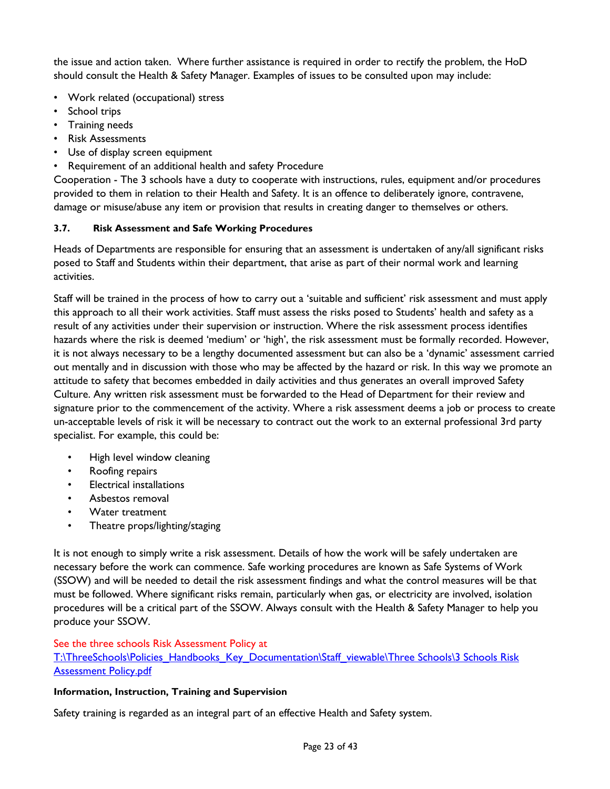the issue and action taken. Where further assistance is required in order to rectify the problem, the HoD should consult the Health & Safety Manager. Examples of issues to be consulted upon may include:

- Work related (occupational) stress
- School trips
- Training needs
- Risk Assessments
- Use of display screen equipment
- Requirement of an additional health and safety Procedure

Cooperation - The 3 schools have a duty to cooperate with instructions, rules, equipment and/or procedures provided to them in relation to their Health and Safety. It is an offence to deliberately ignore, contravene, damage or misuse/abuse any item or provision that results in creating danger to themselves or others.

#### <span id="page-22-0"></span>**3.7. Risk Assessment and Safe Working Procedures**

Heads of Departments are responsible for ensuring that an assessment is undertaken of any/all significant risks posed to Staff and Students within their department, that arise as part of their normal work and learning activities.

Staff will be trained in the process of how to carry out a 'suitable and sufficient' risk assessment and must apply this approach to all their work activities. Staff must assess the risks posed to Students' health and safety as a result of any activities under their supervision or instruction. Where the risk assessment process identifies hazards where the risk is deemed 'medium' or 'high', the risk assessment must be formally recorded. However, it is not always necessary to be a lengthy documented assessment but can also be a 'dynamic' assessment carried out mentally and in discussion with those who may be affected by the hazard or risk. In this way we promote an attitude to safety that becomes embedded in daily activities and thus generates an overall improved Safety Culture. Any written risk assessment must be forwarded to the Head of Department for their review and signature prior to the commencement of the activity. Where a risk assessment deems a job or process to create un-acceptable levels of risk it will be necessary to contract out the work to an external professional 3rd party specialist. For example, this could be:

- High level window cleaning
- Roofing repairs
- Electrical installations
- Asbestos removal
- Water treatment
- Theatre props/lighting/staging

It is not enough to simply write a risk assessment. Details of how the work will be safely undertaken are necessary before the work can commence. Safe working procedures are known as Safe Systems of Work (SSOW) and will be needed to detail the risk assessment findings and what the control measures will be that must be followed. Where significant risks remain, particularly when gas, or electricity are involved, isolation procedures will be a critical part of the SSOW. Always consult with the Health & Safety Manager to help you produce your SSOW.

#### See the three schools Risk Assessment Policy at

T:\ThreeSchools\Policies\_Handbooks\_Key\_Documentation\Staff\_viewable\Three Schools\3 Schools Risk [Assessment Policy.pdf](file://vm-009-fs/root$/ThreeSchools/Policies_Handbooks_Key_Documentation/Staff_viewable/Three%20Schools/3%20Schools%20Risk%20Assessment%20Policy.pdf)

#### **Information, Instruction, Training and Supervision**

Safety training is regarded as an integral part of an effective Health and Safety system.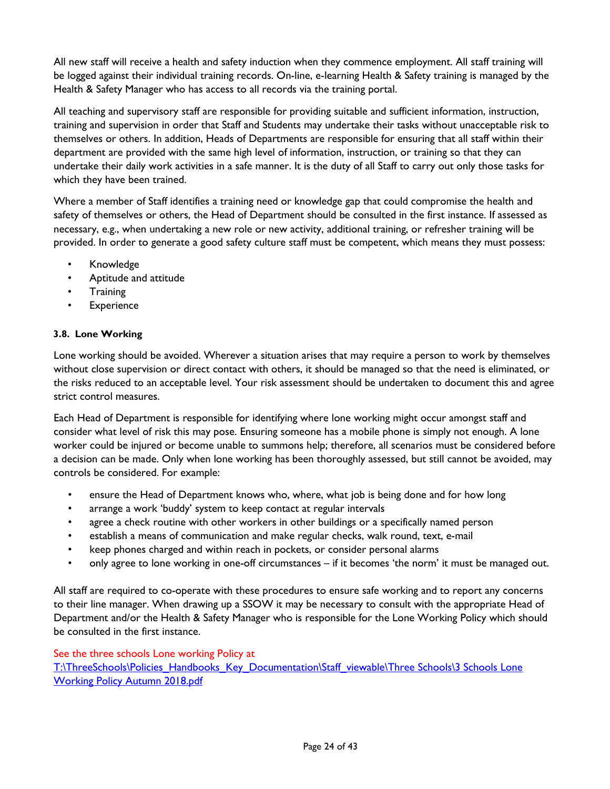All new staff will receive a health and safety induction when they commence employment. All staff training will be logged against their individual training records. On-line, e-learning Health & Safety training is managed by the Health & Safety Manager who has access to all records via the training portal.

All teaching and supervisory staff are responsible for providing suitable and sufficient information, instruction, training and supervision in order that Staff and Students may undertake their tasks without unacceptable risk to themselves or others. In addition, Heads of Departments are responsible for ensuring that all staff within their department are provided with the same high level of information, instruction, or training so that they can undertake their daily work activities in a safe manner. It is the duty of all Staff to carry out only those tasks for which they have been trained.

Where a member of Staff identifies a training need or knowledge gap that could compromise the health and safety of themselves or others, the Head of Department should be consulted in the first instance. If assessed as necessary, e.g., when undertaking a new role or new activity, additional training, or refresher training will be provided. In order to generate a good safety culture staff must be competent, which means they must possess:

- Knowledge
- Aptitude and attitude
- Training
- **Experience**

#### <span id="page-23-0"></span>**3.8. Lone Working**

Lone working should be avoided. Wherever a situation arises that may require a person to work by themselves without close supervision or direct contact with others, it should be managed so that the need is eliminated, or the risks reduced to an acceptable level. Your risk assessment should be undertaken to document this and agree strict control measures.

Each Head of Department is responsible for identifying where lone working might occur amongst staff and consider what level of risk this may pose. Ensuring someone has a mobile phone is simply not enough. A lone worker could be injured or become unable to summons help; therefore, all scenarios must be considered before a decision can be made. Only when lone working has been thoroughly assessed, but still cannot be avoided, may controls be considered. For example:

- ensure the Head of Department knows who, where, what job is being done and for how long
- arrange a work 'buddy' system to keep contact at regular intervals
- agree a check routine with other workers in other buildings or a specifically named person
- establish a means of communication and make regular checks, walk round, text, e-mail
- keep phones charged and within reach in pockets, or consider personal alarms
- only agree to lone working in one-off circumstances if it becomes 'the norm' it must be managed out.

All staff are required to co-operate with these procedures to ensure safe working and to report any concerns to their line manager. When drawing up a SSOW it may be necessary to consult with the appropriate Head of Department and/or the Health & Safety Manager who is responsible for the Lone Working Policy which should be consulted in the first instance.

See the three schools Lone working Policy at

[T:\ThreeSchools\Policies\\_Handbooks\\_Key\\_Documentation\Staff\\_viewable\Three Schools\3 Schools](file://vm-009-fs/root$/ThreeSchools/Policies_Handbooks_Key_Documentation/Staff_viewable/Three%20Schools/3%20Schools%20Lone%20Working%20Policy%20Autumn%202018.pdf) Lone [Working Policy Autumn 2018.pdf](file://vm-009-fs/root$/ThreeSchools/Policies_Handbooks_Key_Documentation/Staff_viewable/Three%20Schools/3%20Schools%20Lone%20Working%20Policy%20Autumn%202018.pdf)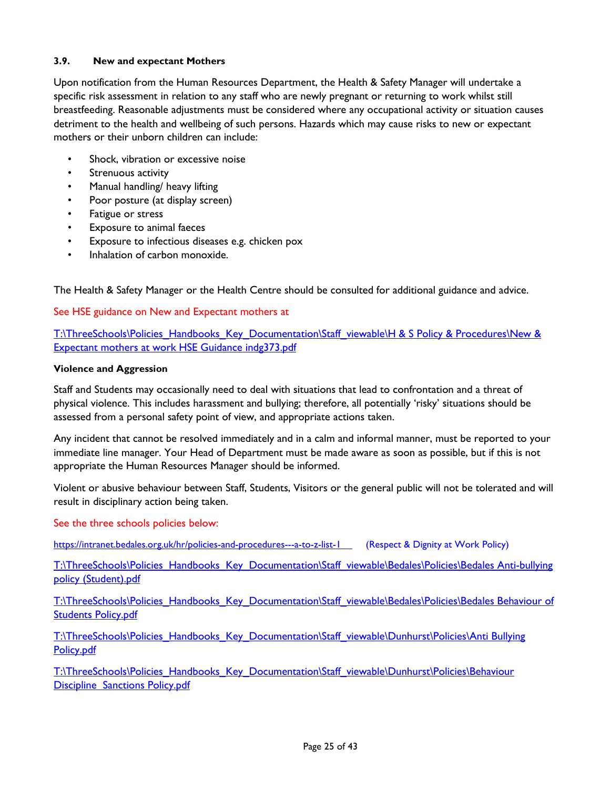#### <span id="page-24-0"></span>**3.9. New and expectant Mothers**

Upon notification from the Human Resources Department, the Health & Safety Manager will undertake a specific risk assessment in relation to any staff who are newly pregnant or returning to work whilst still breastfeeding. Reasonable adjustments must be considered where any occupational activity or situation causes detriment to the health and wellbeing of such persons. Hazards which may cause risks to new or expectant mothers or their unborn children can include:

- Shock, vibration or excessive noise
- Strenuous activity
- Manual handling/ heavy lifting
- Poor posture (at display screen)
- Fatigue or stress
- Exposure to animal faeces
- Exposure to infectious diseases e.g. chicken pox
- Inhalation of carbon monoxide.

The Health & Safety Manager or the Health Centre should be consulted for additional guidance and advice.

See HSE guidance on New and Expectant mothers at

T:\ThreeSchools\Policies\_Handbooks\_Key\_Documentation\Staff\_viewable\H & S Policy & Procedures\New & [Expectant mothers at work HSE Guidance indg373.pdf](file://vm-009-fs/root$/ThreeSchools/Policies_Handbooks_Key_Documentation/Staff_viewable/H%20&%20S%20Policy%20&%20Procedures/New%20&%20Expectant%20mothers%20at%20work%20HSE%20Guidance%20indg373.pdf)

#### **Violence and Aggression**

Staff and Students may occasionally need to deal with situations that lead to confrontation and a threat of physical violence. This includes harassment and bullying; therefore, all potentially 'risky' situations should be assessed from a personal safety point of view, and appropriate actions taken.

Any incident that cannot be resolved immediately and in a calm and informal manner, must be reported to your immediate line manager. Your Head of Department must be made aware as soon as possible, but if this is not appropriate the Human Resources Manager should be informed.

Violent or abusive behaviour between Staff, Students, Visitors or the general public will not be tolerated and will result in disciplinary action being taken.

#### See the three schools policies below:

<https://intranet.bedales.org.uk/hr/policies-and-procedures---a-to-z-list-1>(Respect & Dignity at Work Policy)

[T:\ThreeSchools\Policies\\_Handbooks\\_Key\\_Documentation\Staff\\_viewable\Bedales\Policies\Bedales Anti-bullying](file://vm-009-fs/root$/ThreeSchools/Policies_Handbooks_Key_Documentation/Staff_viewable/Bedales/Policies/Bedales%20Anti-bullying%20policy%20(Student).pdf)  [policy \(Student\).pdf](file://vm-009-fs/root$/ThreeSchools/Policies_Handbooks_Key_Documentation/Staff_viewable/Bedales/Policies/Bedales%20Anti-bullying%20policy%20(Student).pdf)

T:\ThreeSchools\Policies\_Handbooks\_Key\_Documentation\Staff\_viewable\Bedales\Policies\Bedales Behaviour of [Students Policy.pdf](file://vm-009-fs/root$/ThreeSchools/Policies_Handbooks_Key_Documentation/Staff_viewable/Bedales/Policies/Bedales%20Behaviour%20of%20Students%20Policy.pdf)

T:\ThreeSchools\Policies\_Handbooks\_Key\_Documentation\Staff\_viewable\Dunhurst\Policies\Anti Bullying [Policy.pdf](file://vm-009-fs/root$/ThreeSchools/Policies_Handbooks_Key_Documentation/Staff_viewable/Dunhurst/Policies/Anti%20Bullying%20Policy.pdf)

[T:\ThreeSchools\Policies\\_Handbooks\\_Key\\_Documentation\Staff\\_viewable\Dunhurst\Policies\Behaviour](file://vm-009-fs/root$/ThreeSchools/Policies_Handbooks_Key_Documentation/Staff_viewable/Dunhurst/Policies/Behaviour%20Discipline%20%20Sanctions%20Policy.pdf)  [Discipline Sanctions Policy.pdf](file://vm-009-fs/root$/ThreeSchools/Policies_Handbooks_Key_Documentation/Staff_viewable/Dunhurst/Policies/Behaviour%20Discipline%20%20Sanctions%20Policy.pdf)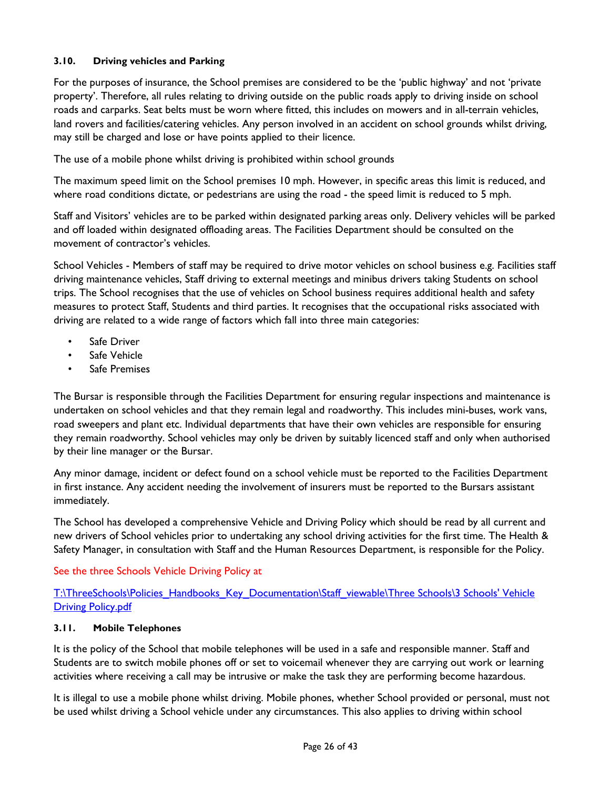#### <span id="page-25-0"></span>**3.10. Driving vehicles and Parking**

For the purposes of insurance, the School premises are considered to be the 'public highway' and not 'private property'. Therefore, all rules relating to driving outside on the public roads apply to driving inside on school roads and carparks. Seat belts must be worn where fitted, this includes on mowers and in all-terrain vehicles, land rovers and facilities/catering vehicles. Any person involved in an accident on school grounds whilst driving, may still be charged and lose or have points applied to their licence.

The use of a mobile phone whilst driving is prohibited within school grounds

The maximum speed limit on the School premises 10 mph. However, in specific areas this limit is reduced, and where road conditions dictate, or pedestrians are using the road - the speed limit is reduced to 5 mph.

Staff and Visitors' vehicles are to be parked within designated parking areas only. Delivery vehicles will be parked and off loaded within designated offloading areas. The Facilities Department should be consulted on the movement of contractor's vehicles.

School Vehicles - Members of staff may be required to drive motor vehicles on school business e.g. Facilities staff driving maintenance vehicles, Staff driving to external meetings and minibus drivers taking Students on school trips. The School recognises that the use of vehicles on School business requires additional health and safety measures to protect Staff, Students and third parties. It recognises that the occupational risks associated with driving are related to a wide range of factors which fall into three main categories:

- Safe Driver
- Safe Vehicle
- Safe Premises

The Bursar is responsible through the Facilities Department for ensuring regular inspections and maintenance is undertaken on school vehicles and that they remain legal and roadworthy. This includes mini-buses, work vans, road sweepers and plant etc. Individual departments that have their own vehicles are responsible for ensuring they remain roadworthy. School vehicles may only be driven by suitably licenced staff and only when authorised by their line manager or the Bursar.

Any minor damage, incident or defect found on a school vehicle must be reported to the Facilities Department in first instance. Any accident needing the involvement of insurers must be reported to the Bursars assistant immediately.

The School has developed a comprehensive Vehicle and Driving Policy which should be read by all current and new drivers of School vehicles prior to undertaking any school driving activities for the first time. The Health & Safety Manager, in consultation with Staff and the Human Resources Department, is responsible for the Policy.

#### See the three Schools Vehicle Driving Policy at

[T:\ThreeSchools\Policies\\_Handbooks\\_Key\\_Documentation\Staff\\_viewable\Three Schools\3 Schools' Vehicle](file://vm-009-fs/root$/ThreeSchools/Policies_Handbooks_Key_Documentation/Staff_viewable/Three%20Schools/3%20Schools)  **[Driving Policy.pdf](file://vm-009-fs/root$/ThreeSchools/Policies_Handbooks_Key_Documentation/Staff_viewable/Three%20Schools/3%20Schools)** 

#### <span id="page-25-1"></span>**3.11. Mobile Telephones**

It is the policy of the School that mobile telephones will be used in a safe and responsible manner. Staff and Students are to switch mobile phones off or set to voicemail whenever they are carrying out work or learning activities where receiving a call may be intrusive or make the task they are performing become hazardous.

It is illegal to use a mobile phone whilst driving. Mobile phones, whether School provided or personal, must not be used whilst driving a School vehicle under any circumstances. This also applies to driving within school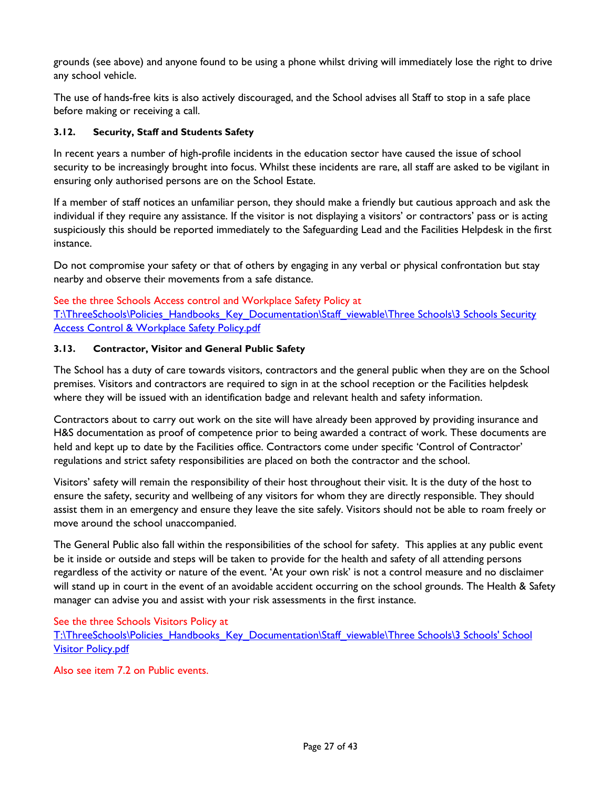grounds (see above) and anyone found to be using a phone whilst driving will immediately lose the right to drive any school vehicle.

The use of hands-free kits is also actively discouraged, and the School advises all Staff to stop in a safe place before making or receiving a call.

#### <span id="page-26-0"></span>**3.12. Security, Staff and Students Safety**

In recent years a number of high-profile incidents in the education sector have caused the issue of school security to be increasingly brought into focus. Whilst these incidents are rare, all staff are asked to be vigilant in ensuring only authorised persons are on the School Estate.

If a member of staff notices an unfamiliar person, they should make a friendly but cautious approach and ask the individual if they require any assistance. If the visitor is not displaying a visitors' or contractors' pass or is acting suspiciously this should be reported immediately to the Safeguarding Lead and the Facilities Helpdesk in the first instance.

Do not compromise your safety or that of others by engaging in any verbal or physical confrontation but stay nearby and observe their movements from a safe distance.

See the three Schools Access control and Workplace Safety Policy at T:\ThreeSchools\Policies\_Handbooks\_Key\_Documentation\Staff\_viewable\Three Schools\3 Schools Security [Access Control & Workplace Safety Policy.pdf](file://vm-009-fs/root$/ThreeSchools/Policies_Handbooks_Key_Documentation/Staff_viewable/Three%20Schools/3%20Schools%20Security%20Access%20Control%20&%20Workplace%20Safety%20Policy.pdf)

#### <span id="page-26-1"></span>**3.13. Contractor, Visitor and General Public Safety**

The School has a duty of care towards visitors, contractors and the general public when they are on the School premises. Visitors and contractors are required to sign in at the school reception or the Facilities helpdesk where they will be issued with an identification badge and relevant health and safety information.

Contractors about to carry out work on the site will have already been approved by providing insurance and H&S documentation as proof of competence prior to being awarded a contract of work. These documents are held and kept up to date by the Facilities office. Contractors come under specific 'Control of Contractor' regulations and strict safety responsibilities are placed on both the contractor and the school.

Visitors' safety will remain the responsibility of their host throughout their visit. It is the duty of the host to ensure the safety, security and wellbeing of any visitors for whom they are directly responsible. They should assist them in an emergency and ensure they leave the site safely. Visitors should not be able to roam freely or move around the school unaccompanied.

The General Public also fall within the responsibilities of the school for safety. This applies at any public event be it inside or outside and steps will be taken to provide for the health and safety of all attending persons regardless of the activity or nature of the event. 'At your own risk' is not a control measure and no disclaimer will stand up in court in the event of an avoidable accident occurring on the school grounds. The Health & Safety manager can advise you and assist with your risk assessments in the first instance.

See the three Schools Visitors Policy at

T:\ThreeSchools\Policies\_Handbooks\_Key\_Documentation\Staff\_viewable\Three Schools\3 Schools' School [Visitor Policy.pdf](file://vm-009-fs/root$/ThreeSchools/Policies_Handbooks_Key_Documentation/Staff_viewable/Three%20Schools/3%20Schools)

Also see item 7.2 on Public events.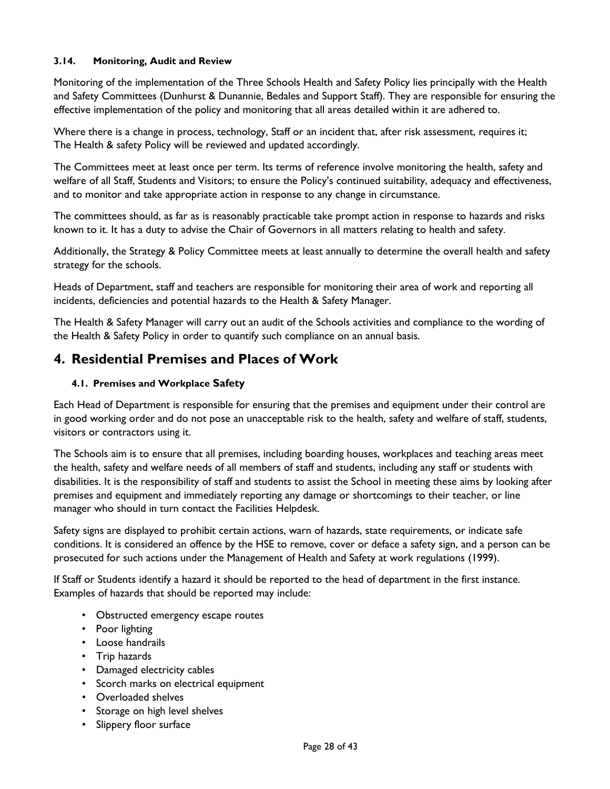#### <span id="page-27-0"></span>**3.14. Monitoring, Audit and Review**

Monitoring of the implementation of the Three Schools Health and Safety Policy lies principally with the Health and Safety Committees (Dunhurst & Dunannie, Bedales and Support Staff). They are responsible for ensuring the effective implementation of the policy and monitoring that all areas detailed within it are adhered to.

Where there is a change in process, technology, Staff or an incident that, after risk assessment, requires it; The Health & safety Policy will be reviewed and updated accordingly.

The Committees meet at least once per term. Its terms of reference involve monitoring the health, safety and welfare of all Staff, Students and Visitors; to ensure the Policy's continued suitability, adequacy and effectiveness, and to monitor and take appropriate action in response to any change in circumstance.

The committees should, as far as is reasonably practicable take prompt action in response to hazards and risks known to it. It has a duty to advise the Chair of Governors in all matters relating to health and safety.

Additionally, the Strategy & Policy Committee meets at least annually to determine the overall health and safety strategy for the schools.

Heads of Department, staff and teachers are responsible for monitoring their area of work and reporting all incidents, deficiencies and potential hazards to the Health & Safety Manager.

The Health & Safety Manager will carry out an audit of the Schools activities and compliance to the wording of the Health & Safety Policy in order to quantify such compliance on an annual basis.

### <span id="page-27-1"></span>**4. Residential Premises and Places of Work**

#### <span id="page-27-2"></span>**4.1. Premises and Workplace Safety**

Each Head of Department is responsible for ensuring that the premises and equipment under their control are in good working order and do not pose an unacceptable risk to the health, safety and welfare of staff, students, visitors or contractors using it.

The Schools aim is to ensure that all premises, including boarding houses, workplaces and teaching areas meet the health, safety and welfare needs of all members of staff and students, including any staff or students with disabilities. It is the responsibility of staff and students to assist the School in meeting these aims by looking after premises and equipment and immediately reporting any damage or shortcomings to their teacher, or line manager who should in turn contact the Facilities Helpdesk.

Safety signs are displayed to prohibit certain actions, warn of hazards, state requirements, or indicate safe conditions. It is considered an offence by the HSE to remove, cover or deface a safety sign, and a person can be prosecuted for such actions under the Management of Health and Safety at work regulations (1999).

If Staff or Students identify a hazard it should be reported to the head of department in the first instance. Examples of hazards that should be reported may include:

- Obstructed emergency escape routes
- Poor lighting
- Loose handrails
- Trip hazards
- Damaged electricity cables
- Scorch marks on electrical equipment
- Overloaded shelves
- Storage on high level shelves
- Slippery floor surface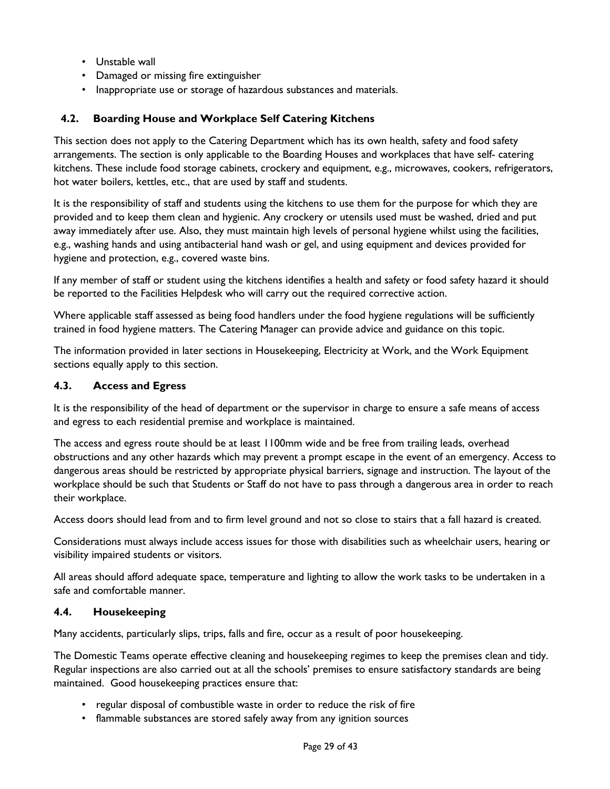- Unstable wall
- Damaged or missing fire extinguisher
- Inappropriate use or storage of hazardous substances and materials.

#### <span id="page-28-0"></span>**4.2. Boarding House and Workplace Self Catering Kitchens**

This section does not apply to the Catering Department which has its own health, safety and food safety arrangements. The section is only applicable to the Boarding Houses and workplaces that have self- catering kitchens. These include food storage cabinets, crockery and equipment, e.g., microwaves, cookers, refrigerators, hot water boilers, kettles, etc., that are used by staff and students.

It is the responsibility of staff and students using the kitchens to use them for the purpose for which they are provided and to keep them clean and hygienic. Any crockery or utensils used must be washed, dried and put away immediately after use. Also, they must maintain high levels of personal hygiene whilst using the facilities, e.g., washing hands and using antibacterial hand wash or gel, and using equipment and devices provided for hygiene and protection, e.g., covered waste bins.

If any member of staff or student using the kitchens identifies a health and safety or food safety hazard it should be reported to the Facilities Helpdesk who will carry out the required corrective action.

Where applicable staff assessed as being food handlers under the food hygiene regulations will be sufficiently trained in food hygiene matters. The Catering Manager can provide advice and guidance on this topic.

The information provided in later sections in Housekeeping, Electricity at Work, and the Work Equipment sections equally apply to this section.

#### <span id="page-28-1"></span>**4.3. Access and Egress**

It is the responsibility of the head of department or the supervisor in charge to ensure a safe means of access and egress to each residential premise and workplace is maintained.

The access and egress route should be at least 1100mm wide and be free from trailing leads, overhead obstructions and any other hazards which may prevent a prompt escape in the event of an emergency. Access to dangerous areas should be restricted by appropriate physical barriers, signage and instruction. The layout of the workplace should be such that Students or Staff do not have to pass through a dangerous area in order to reach their workplace.

Access doors should lead from and to firm level ground and not so close to stairs that a fall hazard is created.

Considerations must always include access issues for those with disabilities such as wheelchair users, hearing or visibility impaired students or visitors.

All areas should afford adequate space, temperature and lighting to allow the work tasks to be undertaken in a safe and comfortable manner.

#### <span id="page-28-2"></span>**4.4. Housekeeping**

Many accidents, particularly slips, trips, falls and fire, occur as a result of poor housekeeping.

The Domestic Teams operate effective cleaning and housekeeping regimes to keep the premises clean and tidy. Regular inspections are also carried out at all the schools' premises to ensure satisfactory standards are being maintained. Good housekeeping practices ensure that:

- regular disposal of combustible waste in order to reduce the risk of fire
- flammable substances are stored safely away from any ignition sources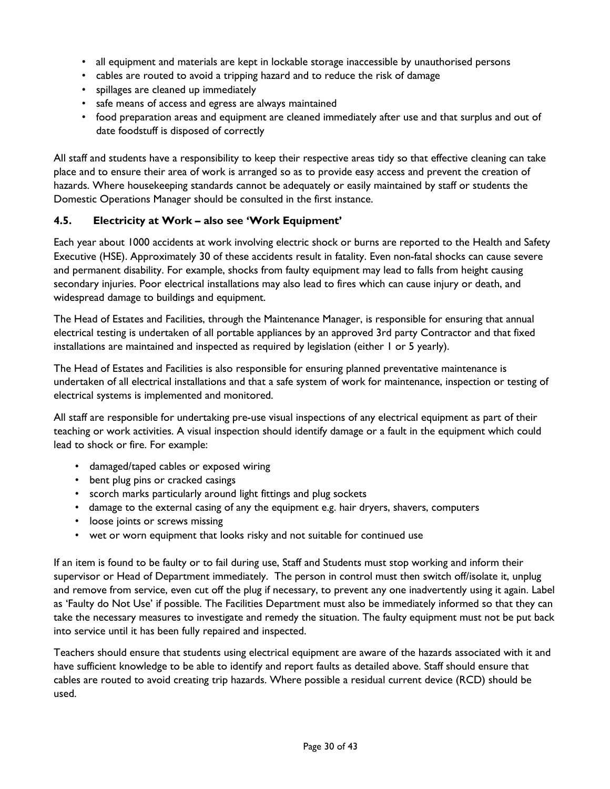- all equipment and materials are kept in lockable storage inaccessible by unauthorised persons
- cables are routed to avoid a tripping hazard and to reduce the risk of damage
- spillages are cleaned up immediately
- safe means of access and egress are always maintained
- food preparation areas and equipment are cleaned immediately after use and that surplus and out of date foodstuff is disposed of correctly

All staff and students have a responsibility to keep their respective areas tidy so that effective cleaning can take place and to ensure their area of work is arranged so as to provide easy access and prevent the creation of hazards. Where housekeeping standards cannot be adequately or easily maintained by staff or students the Domestic Operations Manager should be consulted in the first instance.

#### <span id="page-29-0"></span>**4.5. Electricity at Work – also see 'Work Equipment'**

Each year about 1000 accidents at work involving electric shock or burns are reported to the Health and Safety Executive (HSE). Approximately 30 of these accidents result in fatality. Even non-fatal shocks can cause severe and permanent disability. For example, shocks from faulty equipment may lead to falls from height causing secondary injuries. Poor electrical installations may also lead to fires which can cause injury or death, and widespread damage to buildings and equipment.

The Head of Estates and Facilities, through the Maintenance Manager, is responsible for ensuring that annual electrical testing is undertaken of all portable appliances by an approved 3rd party Contractor and that fixed installations are maintained and inspected as required by legislation (either 1 or 5 yearly).

The Head of Estates and Facilities is also responsible for ensuring planned preventative maintenance is undertaken of all electrical installations and that a safe system of work for maintenance, inspection or testing of electrical systems is implemented and monitored.

All staff are responsible for undertaking pre-use visual inspections of any electrical equipment as part of their teaching or work activities. A visual inspection should identify damage or a fault in the equipment which could lead to shock or fire. For example:

- damaged/taped cables or exposed wiring
- bent plug pins or cracked casings
- scorch marks particularly around light fittings and plug sockets
- damage to the external casing of any the equipment e.g. hair dryers, shavers, computers
- loose joints or screws missing
- wet or worn equipment that looks risky and not suitable for continued use

If an item is found to be faulty or to fail during use, Staff and Students must stop working and inform their supervisor or Head of Department immediately. The person in control must then switch off/isolate it, unplug and remove from service, even cut off the plug if necessary, to prevent any one inadvertently using it again. Label as 'Faulty do Not Use' if possible. The Facilities Department must also be immediately informed so that they can take the necessary measures to investigate and remedy the situation. The faulty equipment must not be put back into service until it has been fully repaired and inspected.

Teachers should ensure that students using electrical equipment are aware of the hazards associated with it and have sufficient knowledge to be able to identify and report faults as detailed above. Staff should ensure that cables are routed to avoid creating trip hazards. Where possible a residual current device (RCD) should be used.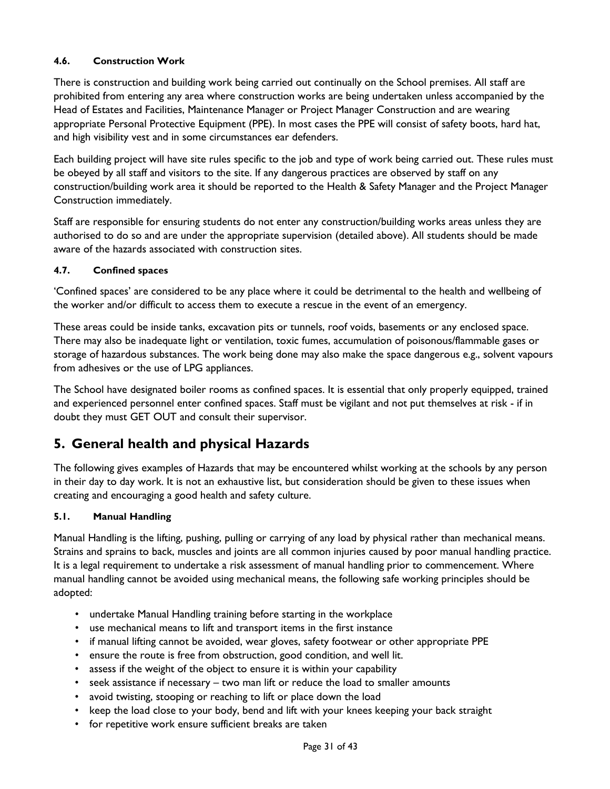#### <span id="page-30-0"></span>**4.6. Construction Work**

There is construction and building work being carried out continually on the School premises. All staff are prohibited from entering any area where construction works are being undertaken unless accompanied by the Head of Estates and Facilities, Maintenance Manager or Project Manager Construction and are wearing appropriate Personal Protective Equipment (PPE). In most cases the PPE will consist of safety boots, hard hat, and high visibility vest and in some circumstances ear defenders.

Each building project will have site rules specific to the job and type of work being carried out. These rules must be obeyed by all staff and visitors to the site. If any dangerous practices are observed by staff on any construction/building work area it should be reported to the Health & Safety Manager and the Project Manager Construction immediately.

Staff are responsible for ensuring students do not enter any construction/building works areas unless they are authorised to do so and are under the appropriate supervision (detailed above). All students should be made aware of the hazards associated with construction sites.

#### <span id="page-30-1"></span>**4.7. Confined spaces**

'Confined spaces' are considered to be any place where it could be detrimental to the health and wellbeing of the worker and/or difficult to access them to execute a rescue in the event of an emergency.

These areas could be inside tanks, excavation pits or tunnels, roof voids, basements or any enclosed space. There may also be inadequate light or ventilation, toxic fumes, accumulation of poisonous/flammable gases or storage of hazardous substances. The work being done may also make the space dangerous e.g., solvent vapours from adhesives or the use of LPG appliances.

The School have designated boiler rooms as confined spaces. It is essential that only properly equipped, trained and experienced personnel enter confined spaces. Staff must be vigilant and not put themselves at risk - if in doubt they must GET OUT and consult their supervisor.

### <span id="page-30-2"></span>**5. General health and physical Hazards**

The following gives examples of Hazards that may be encountered whilst working at the schools by any person in their day to day work. It is not an exhaustive list, but consideration should be given to these issues when creating and encouraging a good health and safety culture.

#### <span id="page-30-3"></span>**5.1. Manual Handling**

Manual Handling is the lifting, pushing, pulling or carrying of any load by physical rather than mechanical means. Strains and sprains to back, muscles and joints are all common injuries caused by poor manual handling practice. It is a legal requirement to undertake a risk assessment of manual handling prior to commencement. Where manual handling cannot be avoided using mechanical means, the following safe working principles should be adopted:

- undertake Manual Handling training before starting in the workplace
- use mechanical means to lift and transport items in the first instance
- if manual lifting cannot be avoided, wear gloves, safety footwear or other appropriate PPE
- ensure the route is free from obstruction, good condition, and well lit.
- assess if the weight of the object to ensure it is within your capability
- seek assistance if necessary two man lift or reduce the load to smaller amounts
- avoid twisting, stooping or reaching to lift or place down the load
- keep the load close to your body, bend and lift with your knees keeping your back straight
- for repetitive work ensure sufficient breaks are taken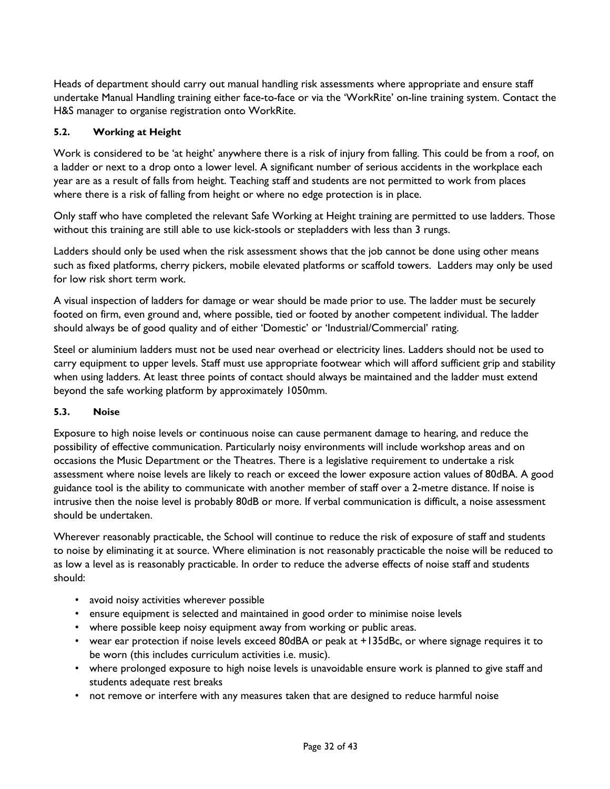Heads of department should carry out manual handling risk assessments where appropriate and ensure staff undertake Manual Handling training either face-to-face or via the 'WorkRite' on-line training system. Contact the H&S manager to organise registration onto WorkRite.

#### <span id="page-31-0"></span>**5.2. Working at Height**

Work is considered to be 'at height' anywhere there is a risk of injury from falling. This could be from a roof, on a ladder or next to a drop onto a lower level. A significant number of serious accidents in the workplace each year are as a result of falls from height. Teaching staff and students are not permitted to work from places where there is a risk of falling from height or where no edge protection is in place.

Only staff who have completed the relevant Safe Working at Height training are permitted to use ladders. Those without this training are still able to use kick-stools or stepladders with less than 3 rungs.

Ladders should only be used when the risk assessment shows that the job cannot be done using other means such as fixed platforms, cherry pickers, mobile elevated platforms or scaffold towers. Ladders may only be used for low risk short term work.

A visual inspection of ladders for damage or wear should be made prior to use. The ladder must be securely footed on firm, even ground and, where possible, tied or footed by another competent individual. The ladder should always be of good quality and of either 'Domestic' or 'Industrial/Commercial' rating.

Steel or aluminium ladders must not be used near overhead or electricity lines. Ladders should not be used to carry equipment to upper levels. Staff must use appropriate footwear which will afford sufficient grip and stability when using ladders. At least three points of contact should always be maintained and the ladder must extend beyond the safe working platform by approximately 1050mm.

#### <span id="page-31-1"></span>**5.3. Noise**

Exposure to high noise levels or continuous noise can cause permanent damage to hearing, and reduce the possibility of effective communication. Particularly noisy environments will include workshop areas and on occasions the Music Department or the Theatres. There is a legislative requirement to undertake a risk assessment where noise levels are likely to reach or exceed the lower exposure action values of 80dBA. A good guidance tool is the ability to communicate with another member of staff over a 2-metre distance. If noise is intrusive then the noise level is probably 80dB or more. If verbal communication is difficult, a noise assessment should be undertaken.

Wherever reasonably practicable, the School will continue to reduce the risk of exposure of staff and students to noise by eliminating it at source. Where elimination is not reasonably practicable the noise will be reduced to as low a level as is reasonably practicable. In order to reduce the adverse effects of noise staff and students should:

- avoid noisy activities wherever possible
- ensure equipment is selected and maintained in good order to minimise noise levels
- where possible keep noisy equipment away from working or public areas.
- wear ear protection if noise levels exceed 80dBA or peak at +135dBc, or where signage requires it to be worn (this includes curriculum activities i.e. music).
- where prolonged exposure to high noise levels is unavoidable ensure work is planned to give staff and students adequate rest breaks
- not remove or interfere with any measures taken that are designed to reduce harmful noise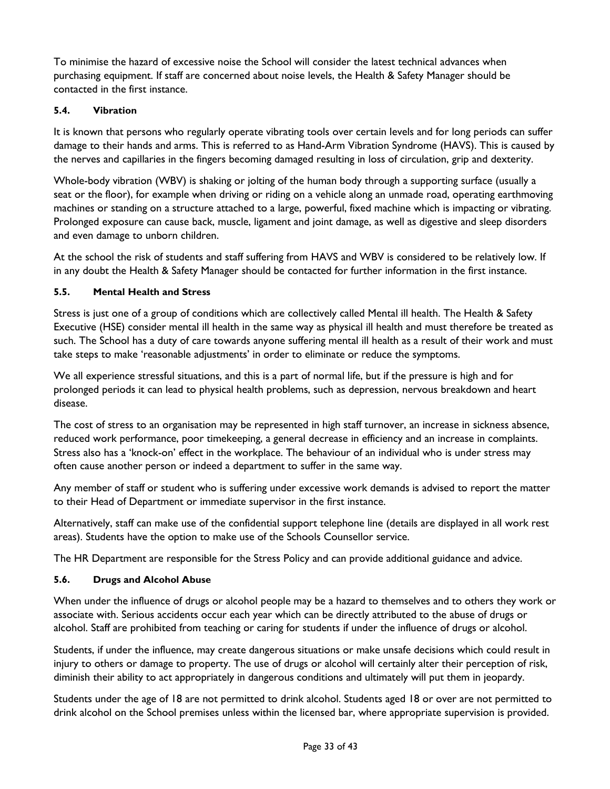To minimise the hazard of excessive noise the School will consider the latest technical advances when purchasing equipment. If staff are concerned about noise levels, the Health & Safety Manager should be contacted in the first instance.

#### <span id="page-32-0"></span>**5.4. Vibration**

It is known that persons who regularly operate vibrating tools over certain levels and for long periods can suffer damage to their hands and arms. This is referred to as Hand-Arm Vibration Syndrome (HAVS). This is caused by the nerves and capillaries in the fingers becoming damaged resulting in loss of circulation, grip and dexterity.

Whole-body vibration (WBV) is shaking or jolting of the human body through a supporting surface (usually a seat or the floor), for example when driving or riding on a vehicle along an unmade road, operating earthmoving machines or standing on a structure attached to a large, powerful, fixed machine which is impacting or vibrating. Prolonged exposure can cause back, muscle, ligament and joint damage, as well as digestive and sleep disorders and even damage to unborn children.

At the school the risk of students and staff suffering from HAVS and WBV is considered to be relatively low. If in any doubt the Health & Safety Manager should be contacted for further information in the first instance.

#### <span id="page-32-1"></span>**5.5. Mental Health and Stress**

Stress is just one of a group of conditions which are collectively called Mental ill health. The Health & Safety Executive (HSE) consider mental ill health in the same way as physical ill health and must therefore be treated as such. The School has a duty of care towards anyone suffering mental ill health as a result of their work and must take steps to make 'reasonable adjustments' in order to eliminate or reduce the symptoms.

We all experience stressful situations, and this is a part of normal life, but if the pressure is high and for prolonged periods it can lead to physical health problems, such as depression, nervous breakdown and heart disease.

The cost of stress to an organisation may be represented in high staff turnover, an increase in sickness absence, reduced work performance, poor timekeeping, a general decrease in efficiency and an increase in complaints. Stress also has a 'knock-on' effect in the workplace. The behaviour of an individual who is under stress may often cause another person or indeed a department to suffer in the same way.

Any member of staff or student who is suffering under excessive work demands is advised to report the matter to their Head of Department or immediate supervisor in the first instance.

Alternatively, staff can make use of the confidential support telephone line (details are displayed in all work rest areas). Students have the option to make use of the Schools Counsellor service.

The HR Department are responsible for the Stress Policy and can provide additional guidance and advice.

#### <span id="page-32-2"></span>**5.6. Drugs and Alcohol Abuse**

When under the influence of drugs or alcohol people may be a hazard to themselves and to others they work or associate with. Serious accidents occur each year which can be directly attributed to the abuse of drugs or alcohol. Staff are prohibited from teaching or caring for students if under the influence of drugs or alcohol.

Students, if under the influence, may create dangerous situations or make unsafe decisions which could result in injury to others or damage to property. The use of drugs or alcohol will certainly alter their perception of risk, diminish their ability to act appropriately in dangerous conditions and ultimately will put them in jeopardy.

Students under the age of 18 are not permitted to drink alcohol. Students aged 18 or over are not permitted to drink alcohol on the School premises unless within the licensed bar, where appropriate supervision is provided.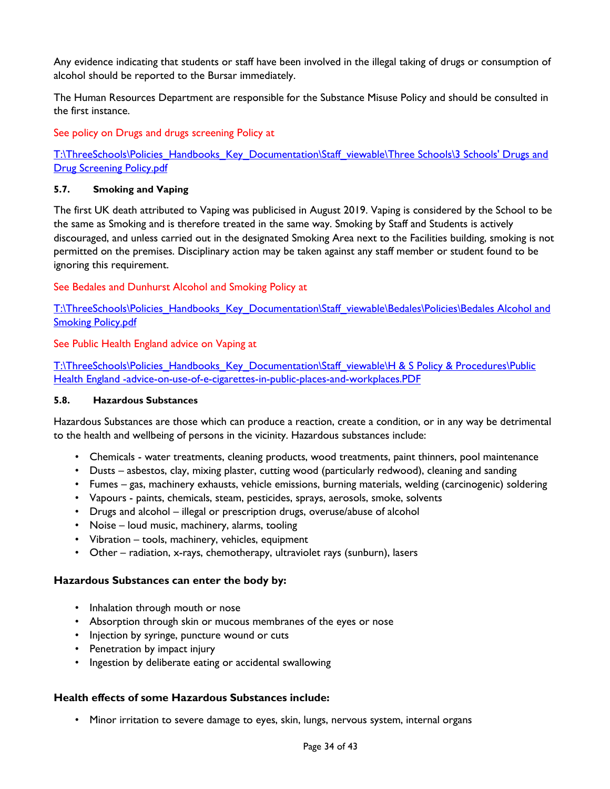Any evidence indicating that students or staff have been involved in the illegal taking of drugs or consumption of alcohol should be reported to the Bursar immediately.

The Human Resources Department are responsible for the Substance Misuse Policy and should be consulted in the first instance.

See policy on Drugs and drugs screening Policy at

[T:\ThreeSchools\Policies\\_Handbooks\\_Key\\_Documentation\Staff\\_viewable\Three Schools\3 Schools' Drugs and](file://vm-009-fs/root$/ThreeSchools/Policies_Handbooks_Key_Documentation/Staff_viewable/Three%20Schools/3%20Schools)  [Drug Screening Policy.pdf](file://vm-009-fs/root$/ThreeSchools/Policies_Handbooks_Key_Documentation/Staff_viewable/Three%20Schools/3%20Schools)

#### <span id="page-33-0"></span>**5.7. Smoking and Vaping**

The first UK death attributed to Vaping was publicised in August 2019. Vaping is considered by the School to be the same as Smoking and is therefore treated in the same way. Smoking by Staff and Students is actively discouraged, and unless carried out in the designated Smoking Area next to the Facilities building, smoking is not permitted on the premises. Disciplinary action may be taken against any staff member or student found to be ignoring this requirement.

See Bedales and Dunhurst Alcohol and Smoking Policy at

[T:\ThreeSchools\Policies\\_Handbooks\\_Key\\_Documentation\Staff\\_viewable\Bedales\Policies\Bedales Alcohol and](file://vm-009-fs/root$/ThreeSchools/Policies_Handbooks_Key_Documentation/Staff_viewable/Bedales/Policies/Bedales%20Alcohol%20and%20Smoking%20Policy.pdf)  **[Smoking Policy.pdf](file://vm-009-fs/root$/ThreeSchools/Policies_Handbooks_Key_Documentation/Staff_viewable/Bedales/Policies/Bedales%20Alcohol%20and%20Smoking%20Policy.pdf)** 

#### See Public Health England advice on Vaping at

T:\ThreeSchools\Policies\_Handbooks\_Key\_Documentation\Staff\_viewable\H & S Policy & Procedures\Public [Health England -advice-on-use-of-e-cigarettes-in-public-places-and-workplaces.PDF](file://vm-009-fs/root$/ThreeSchools/Policies_Handbooks_Key_Documentation/Staff_viewable/H%20&%20S%20Policy%20&%20Procedures/Public%20Health%20England%20-advice-on-use-of-e-cigarettes-in-public-places-and-workplaces.PDF)

#### <span id="page-33-1"></span>**5.8. Hazardous Substances**

Hazardous Substances are those which can produce a reaction, create a condition, or in any way be detrimental to the health and wellbeing of persons in the vicinity. Hazardous substances include:

- Chemicals water treatments, cleaning products, wood treatments, paint thinners, pool maintenance
- Dusts asbestos, clay, mixing plaster, cutting wood (particularly redwood), cleaning and sanding
- Fumes gas, machinery exhausts, vehicle emissions, burning materials, welding (carcinogenic) soldering
- Vapours paints, chemicals, steam, pesticides, sprays, aerosols, smoke, solvents
- Drugs and alcohol illegal or prescription drugs, overuse/abuse of alcohol
- Noise loud music, machinery, alarms, tooling
- Vibration tools, machinery, vehicles, equipment
- Other radiation, x-rays, chemotherapy, ultraviolet rays (sunburn), lasers

#### **Hazardous Substances can enter the body by:**

- Inhalation through mouth or nose
- Absorption through skin or mucous membranes of the eyes or nose
- Injection by syringe, puncture wound or cuts
- Penetration by impact injury
- Ingestion by deliberate eating or accidental swallowing

#### **Health effects of some Hazardous Substances include:**

• Minor irritation to severe damage to eyes, skin, lungs, nervous system, internal organs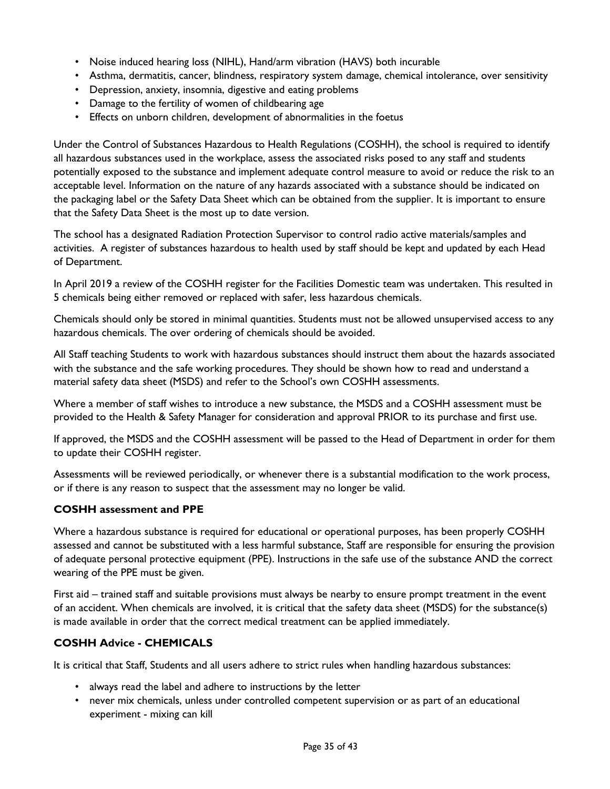- Noise induced hearing loss (NIHL), Hand/arm vibration (HAVS) both incurable
- Asthma, dermatitis, cancer, blindness, respiratory system damage, chemical intolerance, over sensitivity
- Depression, anxiety, insomnia, digestive and eating problems
- Damage to the fertility of women of childbearing age
- Effects on unborn children, development of abnormalities in the foetus

Under the Control of Substances Hazardous to Health Regulations (COSHH), the school is required to identify all hazardous substances used in the workplace, assess the associated risks posed to any staff and students potentially exposed to the substance and implement adequate control measure to avoid or reduce the risk to an acceptable level. Information on the nature of any hazards associated with a substance should be indicated on the packaging label or the Safety Data Sheet which can be obtained from the supplier. It is important to ensure that the Safety Data Sheet is the most up to date version.

The school has a designated Radiation Protection Supervisor to control radio active materials/samples and activities. A register of substances hazardous to health used by staff should be kept and updated by each Head of Department.

In April 2019 a review of the COSHH register for the Facilities Domestic team was undertaken. This resulted in 5 chemicals being either removed or replaced with safer, less hazardous chemicals.

Chemicals should only be stored in minimal quantities. Students must not be allowed unsupervised access to any hazardous chemicals. The over ordering of chemicals should be avoided.

All Staff teaching Students to work with hazardous substances should instruct them about the hazards associated with the substance and the safe working procedures. They should be shown how to read and understand a material safety data sheet (MSDS) and refer to the School's own COSHH assessments.

Where a member of staff wishes to introduce a new substance, the MSDS and a COSHH assessment must be provided to the Health & Safety Manager for consideration and approval PRIOR to its purchase and first use.

If approved, the MSDS and the COSHH assessment will be passed to the Head of Department in order for them to update their COSHH register.

Assessments will be reviewed periodically, or whenever there is a substantial modification to the work process, or if there is any reason to suspect that the assessment may no longer be valid.

#### **COSHH assessment and PPE**

Where a hazardous substance is required for educational or operational purposes, has been properly COSHH assessed and cannot be substituted with a less harmful substance, Staff are responsible for ensuring the provision of adequate personal protective equipment (PPE). Instructions in the safe use of the substance AND the correct wearing of the PPE must be given.

First aid – trained staff and suitable provisions must always be nearby to ensure prompt treatment in the event of an accident. When chemicals are involved, it is critical that the safety data sheet (MSDS) for the substance(s) is made available in order that the correct medical treatment can be applied immediately.

#### **COSHH Advice - CHEMICALS**

It is critical that Staff, Students and all users adhere to strict rules when handling hazardous substances:

- always read the label and adhere to instructions by the letter
- never mix chemicals, unless under controlled competent supervision or as part of an educational experiment - mixing can kill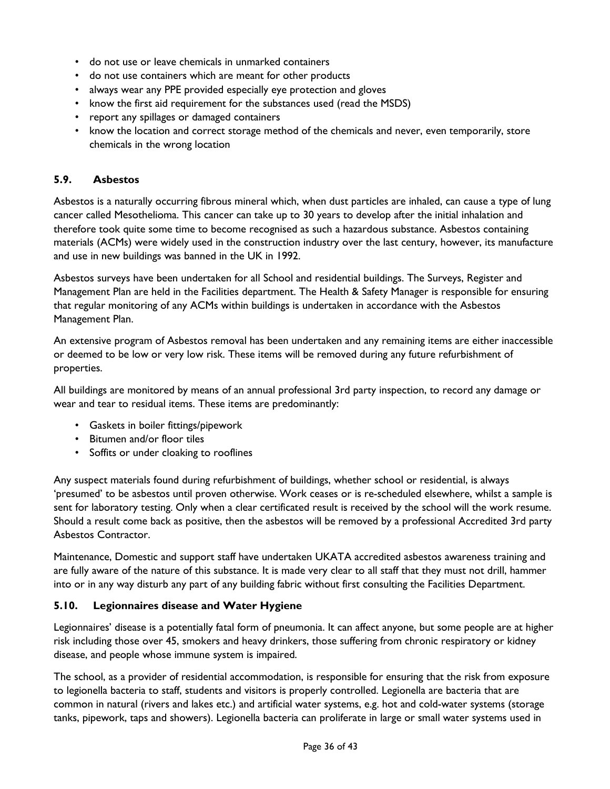- do not use or leave chemicals in unmarked containers
- do not use containers which are meant for other products
- always wear any PPE provided especially eye protection and gloves
- know the first aid requirement for the substances used (read the MSDS)
- report any spillages or damaged containers
- know the location and correct storage method of the chemicals and never, even temporarily, store chemicals in the wrong location

#### <span id="page-35-0"></span>**5.9. Asbestos**

Asbestos is a naturally occurring fibrous mineral which, when dust particles are inhaled, can cause a type of lung cancer called Mesothelioma. This cancer can take up to 30 years to develop after the initial inhalation and therefore took quite some time to become recognised as such a hazardous substance. Asbestos containing materials (ACMs) were widely used in the construction industry over the last century, however, its manufacture and use in new buildings was banned in the UK in 1992.

Asbestos surveys have been undertaken for all School and residential buildings. The Surveys, Register and Management Plan are held in the Facilities department. The Health & Safety Manager is responsible for ensuring that regular monitoring of any ACMs within buildings is undertaken in accordance with the Asbestos Management Plan.

An extensive program of Asbestos removal has been undertaken and any remaining items are either inaccessible or deemed to be low or very low risk. These items will be removed during any future refurbishment of properties.

All buildings are monitored by means of an annual professional 3rd party inspection, to record any damage or wear and tear to residual items. These items are predominantly:

- Gaskets in boiler fittings/pipework
- Bitumen and/or floor tiles
- Soffits or under cloaking to rooflines

Any suspect materials found during refurbishment of buildings, whether school or residential, is always 'presumed' to be asbestos until proven otherwise. Work ceases or is re-scheduled elsewhere, whilst a sample is sent for laboratory testing. Only when a clear certificated result is received by the school will the work resume. Should a result come back as positive, then the asbestos will be removed by a professional Accredited 3rd party Asbestos Contractor.

Maintenance, Domestic and support staff have undertaken UKATA accredited asbestos awareness training and are fully aware of the nature of this substance. It is made very clear to all staff that they must not drill, hammer into or in any way disturb any part of any building fabric without first consulting the Facilities Department.

#### <span id="page-35-1"></span>**5.10. Legionnaires disease and Water Hygiene**

Legionnaires' disease is a potentially fatal form of pneumonia. It can affect anyone, but some people are at higher risk including those over 45, smokers and heavy drinkers, those suffering from chronic respiratory or kidney disease, and people whose immune system is impaired.

The school, as a provider of residential accommodation, is responsible for ensuring that the risk from exposure to legionella bacteria to staff, students and visitors is properly controlled. Legionella are bacteria that are common in natural (rivers and lakes etc.) and artificial water systems, e.g. hot and cold-water systems (storage tanks, pipework, taps and showers). Legionella bacteria can proliferate in large or small water systems used in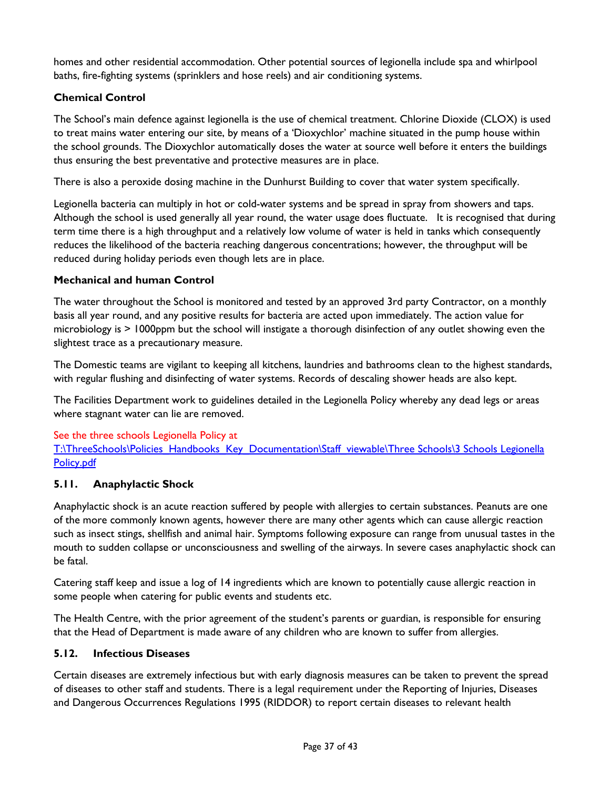homes and other residential accommodation. Other potential sources of legionella include spa and whirlpool baths, fire-fighting systems (sprinklers and hose reels) and air conditioning systems.

#### **Chemical Control**

The School's main defence against legionella is the use of chemical treatment. Chlorine Dioxide (CLOX) is used to treat mains water entering our site, by means of a 'Dioxychlor' machine situated in the pump house within the school grounds. The Dioxychlor automatically doses the water at source well before it enters the buildings thus ensuring the best preventative and protective measures are in place.

There is also a peroxide dosing machine in the Dunhurst Building to cover that water system specifically.

Legionella bacteria can multiply in hot or cold-water systems and be spread in spray from showers and taps. Although the school is used generally all year round, the water usage does fluctuate. It is recognised that during term time there is a high throughput and a relatively low volume of water is held in tanks which consequently reduces the likelihood of the bacteria reaching dangerous concentrations; however, the throughput will be reduced during holiday periods even though lets are in place.

#### **Mechanical and human Control**

The water throughout the School is monitored and tested by an approved 3rd party Contractor, on a monthly basis all year round, and any positive results for bacteria are acted upon immediately. The action value for microbiology is > 1000ppm but the school will instigate a thorough disinfection of any outlet showing even the slightest trace as a precautionary measure.

The Domestic teams are vigilant to keeping all kitchens, laundries and bathrooms clean to the highest standards, with regular flushing and disinfecting of water systems. Records of descaling shower heads are also kept.

The Facilities Department work to guidelines detailed in the Legionella Policy whereby any dead legs or areas where stagnant water can lie are removed.

#### See the three schools Legionella Policy at

T:\ThreeSchools\Policies\_Handbooks\_Key\_Documentation\Staff\_viewable\Three Schools\3 Schools Legionella [Policy.pdf](file://vm-009-fs/root$/ThreeSchools/Policies_Handbooks_Key_Documentation/Staff_viewable/Three%20Schools/3%20Schools%20Legionella%20Policy.pdf)

#### <span id="page-36-0"></span>**5.11. Anaphylactic Shock**

Anaphylactic shock is an acute reaction suffered by people with allergies to certain substances. Peanuts are one of the more commonly known agents, however there are many other agents which can cause allergic reaction such as insect stings, shellfish and animal hair. Symptoms following exposure can range from unusual tastes in the mouth to sudden collapse or unconsciousness and swelling of the airways. In severe cases anaphylactic shock can be fatal.

Catering staff keep and issue a log of 14 ingredients which are known to potentially cause allergic reaction in some people when catering for public events and students etc.

The Health Centre, with the prior agreement of the student's parents or guardian, is responsible for ensuring that the Head of Department is made aware of any children who are known to suffer from allergies.

#### <span id="page-36-1"></span>**5.12. Infectious Diseases**

Certain diseases are extremely infectious but with early diagnosis measures can be taken to prevent the spread of diseases to other staff and students. There is a legal requirement under the Reporting of Injuries, Diseases and Dangerous Occurrences Regulations 1995 (RIDDOR) to report certain diseases to relevant health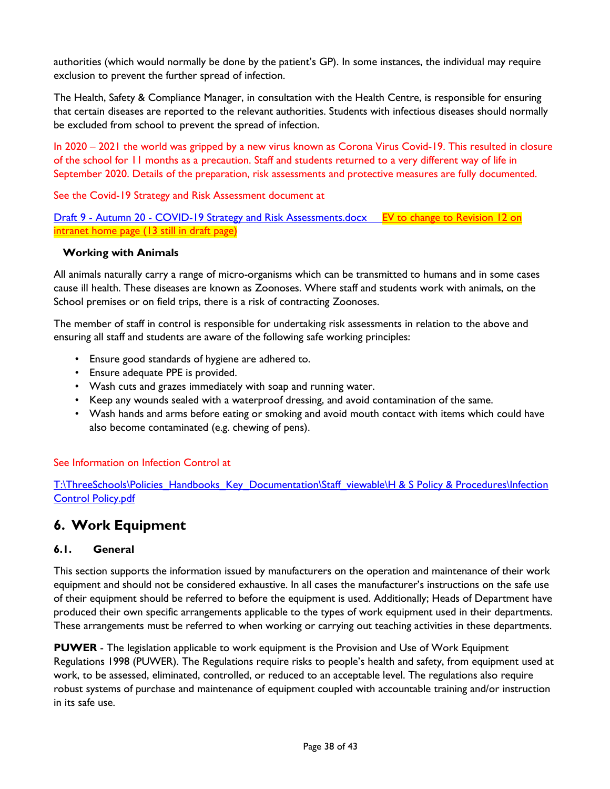authorities (which would normally be done by the patient's GP). In some instances, the individual may require exclusion to prevent the further spread of infection.

The Health, Safety & Compliance Manager, in consultation with the Health Centre, is responsible for ensuring that certain diseases are reported to the relevant authorities. Students with infectious diseases should normally be excluded from school to prevent the spread of infection.

In 2020 – 2021 the world was gripped by a new virus known as Corona Virus Covid-19. This resulted in closure of the school for 11 months as a precaution. Staff and students returned to a very different way of life in September 2020. Details of the preparation, risk assessments and protective measures are fully documented.

See the Covid-19 Strategy and Risk Assessment document at

Draft 9 - Autumn 20 - [COVID-19 Strategy and Risk Assessments.docx](file://vm-009-fs/personal$/Staff/EVoller/Desktop/Draft%209%20-%20Autumn%2020%20-%20COVID-19%20Strategy%20and%20Risk%20Assessments.docx) EV to change to Revision 12 on intranet home page (13 still in draft page)

#### **Working with Animals**

All animals naturally carry a range of micro-organisms which can be transmitted to humans and in some cases cause ill health. These diseases are known as Zoonoses. Where staff and students work with animals, on the School premises or on field trips, there is a risk of contracting Zoonoses.

The member of staff in control is responsible for undertaking risk assessments in relation to the above and ensuring all staff and students are aware of the following safe working principles:

- Ensure good standards of hygiene are adhered to.
- Ensure adequate PPE is provided.
- Wash cuts and grazes immediately with soap and running water.
- Keep any wounds sealed with a waterproof dressing, and avoid contamination of the same.
- Wash hands and arms before eating or smoking and avoid mouth contact with items which could have also become contaminated (e.g. chewing of pens).

#### See Information on Infection Control at

T:\ThreeSchools\Policies\_Handbooks\_Key\_Documentation\Staff\_viewable\H & S Policy & Procedures\Infection [Control Policy.pdf](file://vm-009-fs/root$/ThreeSchools/Policies_Handbooks_Key_Documentation/Staff_viewable/H%20&%20S%20Policy%20&%20Procedures/Infection%20Control%20Policy.pdf)

### <span id="page-37-0"></span>**6. Work Equipment**

#### <span id="page-37-1"></span>**6.1. General**

This section supports the information issued by manufacturers on the operation and maintenance of their work equipment and should not be considered exhaustive. In all cases the manufacturer's instructions on the safe use of their equipment should be referred to before the equipment is used. Additionally; Heads of Department have produced their own specific arrangements applicable to the types of work equipment used in their departments. These arrangements must be referred to when working or carrying out teaching activities in these departments.

**PUWER** - The legislation applicable to work equipment is the Provision and Use of Work Equipment Regulations 1998 (PUWER). The Regulations require risks to people's health and safety, from equipment used at work, to be assessed, eliminated, controlled, or reduced to an acceptable level. The regulations also require robust systems of purchase and maintenance of equipment coupled with accountable training and/or instruction in its safe use.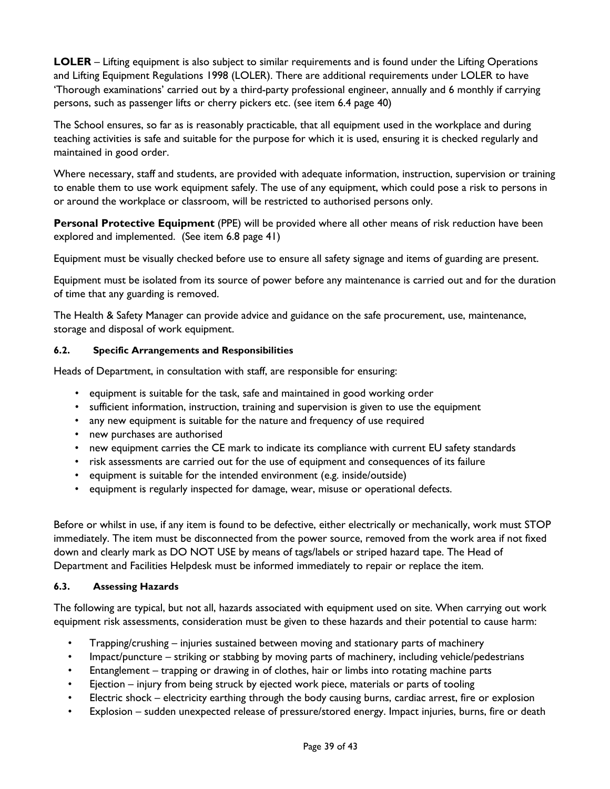**LOLER** – Lifting equipment is also subject to similar requirements and is found under the Lifting Operations and Lifting Equipment Regulations 1998 (LOLER). There are additional requirements under LOLER to have 'Thorough examinations' carried out by a third-party professional engineer, annually and 6 monthly if carrying persons, such as passenger lifts or cherry pickers etc. (see item 6.4 page 40)

The School ensures, so far as is reasonably practicable, that all equipment used in the workplace and during teaching activities is safe and suitable for the purpose for which it is used, ensuring it is checked regularly and maintained in good order.

Where necessary, staff and students, are provided with adequate information, instruction, supervision or training to enable them to use work equipment safely. The use of any equipment, which could pose a risk to persons in or around the workplace or classroom, will be restricted to authorised persons only.

**Personal Protective Equipment** (PPE) will be provided where all other means of risk reduction have been explored and implemented. (See item 6.8 page 41)

Equipment must be visually checked before use to ensure all safety signage and items of guarding are present.

Equipment must be isolated from its source of power before any maintenance is carried out and for the duration of time that any guarding is removed.

The Health & Safety Manager can provide advice and guidance on the safe procurement, use, maintenance, storage and disposal of work equipment.

#### <span id="page-38-0"></span>**6.2. Specific Arrangements and Responsibilities**

Heads of Department, in consultation with staff, are responsible for ensuring:

- equipment is suitable for the task, safe and maintained in good working order
- sufficient information, instruction, training and supervision is given to use the equipment
- any new equipment is suitable for the nature and frequency of use required
- new purchases are authorised
- new equipment carries the CE mark to indicate its compliance with current EU safety standards
- risk assessments are carried out for the use of equipment and consequences of its failure
- equipment is suitable for the intended environment (e.g. inside/outside)
- equipment is regularly inspected for damage, wear, misuse or operational defects.

Before or whilst in use, if any item is found to be defective, either electrically or mechanically, work must STOP immediately. The item must be disconnected from the power source, removed from the work area if not fixed down and clearly mark as DO NOT USE by means of tags/labels or striped hazard tape. The Head of Department and Facilities Helpdesk must be informed immediately to repair or replace the item.

#### <span id="page-38-1"></span>**6.3. Assessing Hazards**

The following are typical, but not all, hazards associated with equipment used on site. When carrying out work equipment risk assessments, consideration must be given to these hazards and their potential to cause harm:

- Trapping/crushing injuries sustained between moving and stationary parts of machinery
- Impact/puncture striking or stabbing by moving parts of machinery, including vehicle/pedestrians
- Entanglement trapping or drawing in of clothes, hair or limbs into rotating machine parts
- Ejection injury from being struck by ejected work piece, materials or parts of tooling
- Electric shock electricity earthing through the body causing burns, cardiac arrest, fire or explosion
- Explosion sudden unexpected release of pressure/stored energy. Impact injuries, burns, fire or death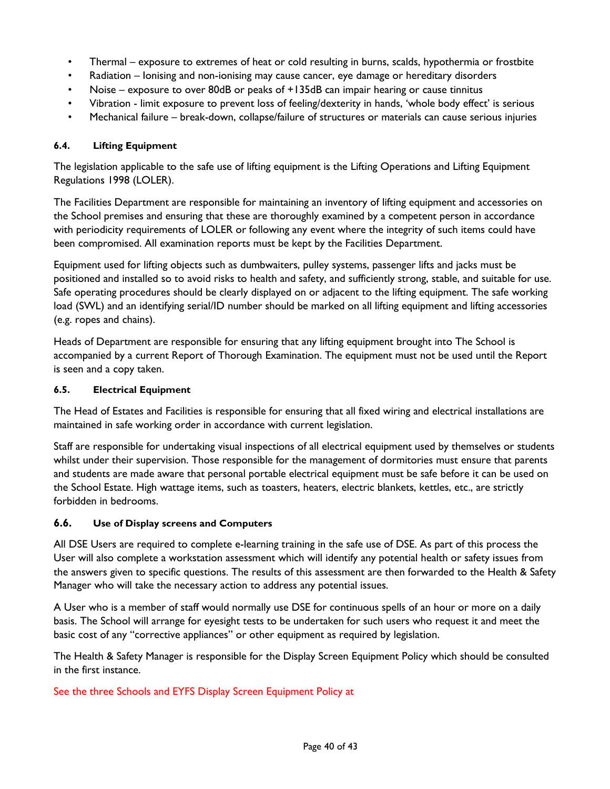- Thermal exposure to extremes of heat or cold resulting in burns, scalds, hypothermia or frostbite
- Radiation Ionising and non-ionising may cause cancer, eye damage or hereditary disorders
- Noise exposure to over 80dB or peaks of +135dB can impair hearing or cause tinnitus
- Vibration limit exposure to prevent loss of feeling/dexterity in hands, 'whole body effect' is serious
- Mechanical failure break-down, collapse/failure of structures or materials can cause serious injuries

#### <span id="page-39-0"></span>**6.4. Lifting Equipment**

The legislation applicable to the safe use of lifting equipment is the Lifting Operations and Lifting Equipment Regulations 1998 (LOLER).

The Facilities Department are responsible for maintaining an inventory of lifting equipment and accessories on the School premises and ensuring that these are thoroughly examined by a competent person in accordance with periodicity requirements of LOLER or following any event where the integrity of such items could have been compromised. All examination reports must be kept by the Facilities Department.

Equipment used for lifting objects such as dumbwaiters, pulley systems, passenger lifts and jacks must be positioned and installed so to avoid risks to health and safety, and sufficiently strong, stable, and suitable for use. Safe operating procedures should be clearly displayed on or adjacent to the lifting equipment. The safe working load (SWL) and an identifying serial/ID number should be marked on all lifting equipment and lifting accessories (e.g. ropes and chains).

Heads of Department are responsible for ensuring that any lifting equipment brought into The School is accompanied by a current Report of Thorough Examination. The equipment must not be used until the Report is seen and a copy taken.

#### <span id="page-39-1"></span>**6.5. Electrical Equipment**

The Head of Estates and Facilities is responsible for ensuring that all fixed wiring and electrical installations are maintained in safe working order in accordance with current legislation.

Staff are responsible for undertaking visual inspections of all electrical equipment used by themselves or students whilst under their supervision. Those responsible for the management of dormitories must ensure that parents and students are made aware that personal portable electrical equipment must be safe before it can be used on the School Estate. High wattage items, such as toasters, heaters, electric blankets, kettles, etc., are strictly forbidden in bedrooms.

#### <span id="page-39-2"></span>**6.6. Use of Display screens and Computers**

All DSE Users are required to complete e-learning training in the safe use of DSE. As part of this process the User will also complete a workstation assessment which will identify any potential health or safety issues from the answers given to specific questions. The results of this assessment are then forwarded to the Health & Safety Manager who will take the necessary action to address any potential issues.

A User who is a member of staff would normally use DSE for continuous spells of an hour or more on a daily basis. The School will arrange for eyesight tests to be undertaken for such users who request it and meet the basic cost of any "corrective appliances" or other equipment as required by legislation.

The Health & Safety Manager is responsible for the Display Screen Equipment Policy which should be consulted in the first instance.

#### See the three Schools and EYFS Display Screen Equipment Policy at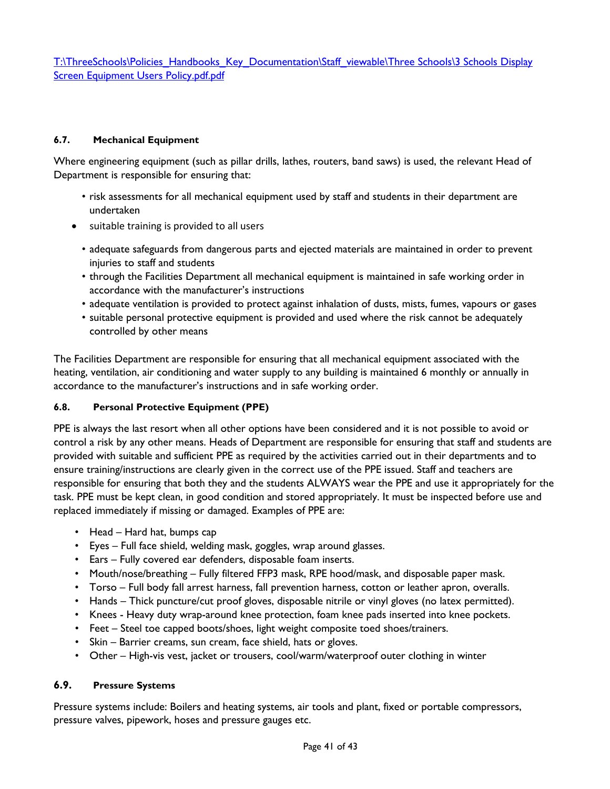T:\ThreeSchools\Policies\_Handbooks\_Key\_Documentation\Staff\_viewable\Three Schools\3 Schools Display [Screen Equipment Users Policy.pdf.pdf](file://vm-009-fs/root$/ThreeSchools/Policies_Handbooks_Key_Documentation/Staff_viewable/Three%20Schools/3%20Schools%20Display%20Screen%20Equipment%20Users%20Policy.pdf.pdf)

#### <span id="page-40-0"></span>**6.7. Mechanical Equipment**

Where engineering equipment (such as pillar drills, lathes, routers, band saws) is used, the relevant Head of Department is responsible for ensuring that:

- risk assessments for all mechanical equipment used by staff and students in their department are undertaken
- suitable training is provided to all users
	- adequate safeguards from dangerous parts and ejected materials are maintained in order to prevent injuries to staff and students
	- through the Facilities Department all mechanical equipment is maintained in safe working order in accordance with the manufacturer's instructions
	- adequate ventilation is provided to protect against inhalation of dusts, mists, fumes, vapours or gases
	- suitable personal protective equipment is provided and used where the risk cannot be adequately controlled by other means

The Facilities Department are responsible for ensuring that all mechanical equipment associated with the heating, ventilation, air conditioning and water supply to any building is maintained 6 monthly or annually in accordance to the manufacturer's instructions and in safe working order.

#### <span id="page-40-1"></span>**6.8. Personal Protective Equipment (PPE)**

PPE is always the last resort when all other options have been considered and it is not possible to avoid or control a risk by any other means. Heads of Department are responsible for ensuring that staff and students are provided with suitable and sufficient PPE as required by the activities carried out in their departments and to ensure training/instructions are clearly given in the correct use of the PPE issued. Staff and teachers are responsible for ensuring that both they and the students ALWAYS wear the PPE and use it appropriately for the task. PPE must be kept clean, in good condition and stored appropriately. It must be inspected before use and replaced immediately if missing or damaged. Examples of PPE are:

- Head Hard hat, bumps cap
- Eyes Full face shield, welding mask, goggles, wrap around glasses.
- Ears Fully covered ear defenders, disposable foam inserts.
- Mouth/nose/breathing Fully filtered FFP3 mask, RPE hood/mask, and disposable paper mask.
- Torso Full body fall arrest harness, fall prevention harness, cotton or leather apron, overalls.
- Hands Thick puncture/cut proof gloves, disposable nitrile or vinyl gloves (no latex permitted).
- Knees Heavy duty wrap-around knee protection, foam knee pads inserted into knee pockets.
- Feet Steel toe capped boots/shoes, light weight composite toed shoes/trainers.
- Skin Barrier creams, sun cream, face shield, hats or gloves.
- Other High-vis vest, jacket or trousers, cool/warm/waterproof outer clothing in winter

#### <span id="page-40-2"></span>**6.9. Pressure Systems**

Pressure systems include: Boilers and heating systems, air tools and plant, fixed or portable compressors, pressure valves, pipework, hoses and pressure gauges etc.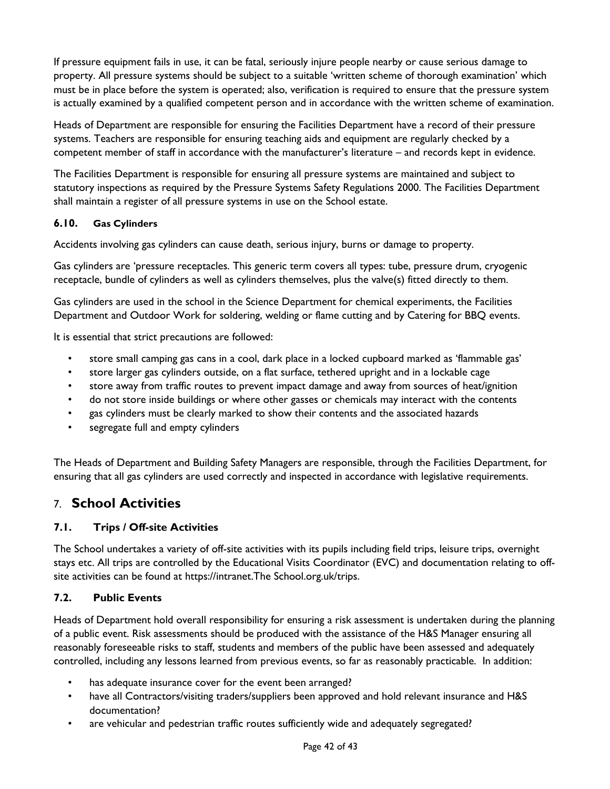If pressure equipment fails in use, it can be fatal, seriously injure people nearby or cause serious damage to property. All pressure systems should be subject to a suitable 'written scheme of thorough examination' which must be in place before the system is operated; also, verification is required to ensure that the pressure system is actually examined by a qualified competent person and in accordance with the written scheme of examination.

Heads of Department are responsible for ensuring the Facilities Department have a record of their pressure systems. Teachers are responsible for ensuring teaching aids and equipment are regularly checked by a competent member of staff in accordance with the manufacturer's literature – and records kept in evidence.

The Facilities Department is responsible for ensuring all pressure systems are maintained and subject to statutory inspections as required by the Pressure Systems Safety Regulations 2000. The Facilities Department shall maintain a register of all pressure systems in use on the School estate.

#### <span id="page-41-0"></span>**6.10. Gas Cylinders**

Accidents involving gas cylinders can cause death, serious injury, burns or damage to property.

Gas cylinders are 'pressure receptacles. This generic term covers all types: tube, pressure drum, cryogenic receptacle, bundle of cylinders as well as cylinders themselves, plus the valve(s) fitted directly to them.

Gas cylinders are used in the school in the Science Department for chemical experiments, the Facilities Department and Outdoor Work for soldering, welding or flame cutting and by Catering for BBQ events.

It is essential that strict precautions are followed:

- store small camping gas cans in a cool, dark place in a locked cupboard marked as 'flammable gas'
- store larger gas cylinders outside, on a flat surface, tethered upright and in a lockable cage
- store away from traffic routes to prevent impact damage and away from sources of heat/ignition
- do not store inside buildings or where other gasses or chemicals may interact with the contents
- gas cylinders must be clearly marked to show their contents and the associated hazards
- segregate full and empty cylinders

The Heads of Department and Building Safety Managers are responsible, through the Facilities Department, for ensuring that all gas cylinders are used correctly and inspected in accordance with legislative requirements.

### <span id="page-41-1"></span>7. **School Activities**

#### <span id="page-41-2"></span>**7.1. Trips / Off-site Activities**

The School undertakes a variety of off-site activities with its pupils including field trips, leisure trips, overnight stays etc. All trips are controlled by the Educational Visits Coordinator (EVC) and documentation relating to offsite activities can be found at https://intranet.The School.org.uk/trips.

#### <span id="page-41-3"></span>**7.2. Public Events**

Heads of Department hold overall responsibility for ensuring a risk assessment is undertaken during the planning of a public event. Risk assessments should be produced with the assistance of the H&S Manager ensuring all reasonably foreseeable risks to staff, students and members of the public have been assessed and adequately controlled, including any lessons learned from previous events, so far as reasonably practicable. In addition:

- has adequate insurance cover for the event been arranged?
- have all Contractors/visiting traders/suppliers been approved and hold relevant insurance and H&S documentation?
- are vehicular and pedestrian traffic routes sufficiently wide and adequately segregated?